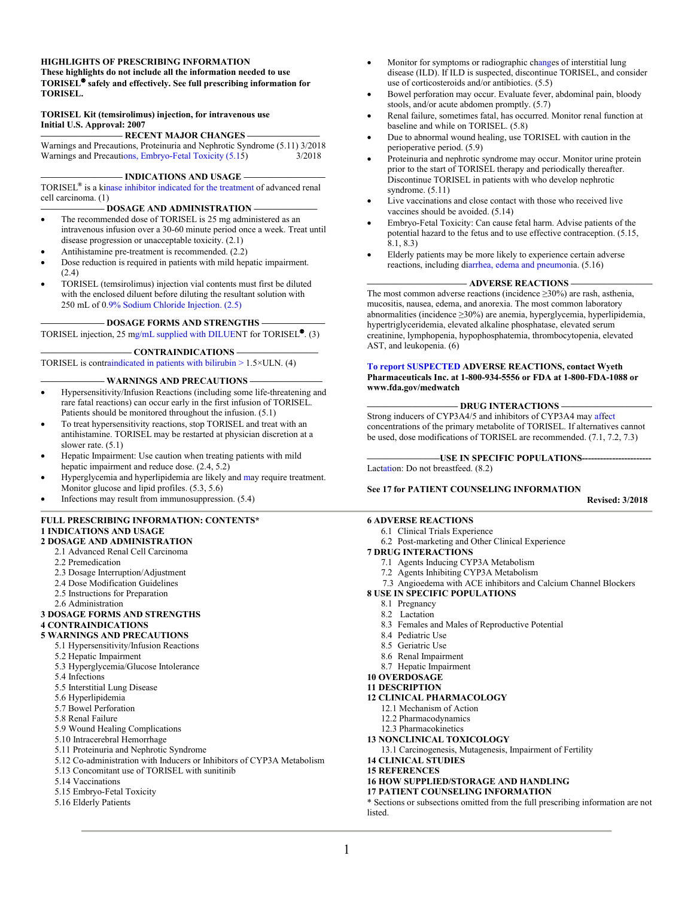#### **HIGHLIGHTS OF PRESCRIBING INFORMATION These highlights do not include all the information needed to use TORISEL safely and effectively. See full prescribing information for TORISEL.**

#### **TORISEL Kit (temsirolimus) injection, for intravenous use Initial U.S. Approval: 2007**

**————————— RECENT MAJOR CHANGES ————————** Warnings and Precautions, Proteinuria and Nephrotic Syndrome (5.11) 3/2018 Warnings and Precauti[ons, Embryo-Fetal Toxicity](#page-1-1) (5.15) 3/2018

 $-$  **INDICATIONS AND USAGE** –

TORISEL**®** is a ki[nase inhibitor indicated for the treatment](#page-1-0) of advanced renal cell carcinoma. (1)

**——————— DOSAGE AND ADMINISTRATION ———————**

- The recommended dose of TORISEL is 25 mg administered as an intravenous infusion over a 30-60 minute period once a week. Treat until disease progression or unacceptable toxicity. (2.1)
- Antihistamine pre-treatment is recommended. (2.2)
- Dose reduction is required in patients with mild hepatic impairment. (2.4)
- TORISEL (temsirolimus) injection vial contents must first be diluted with the enclosed diluent before diluting the resultant solution with 250 mL of 0[.9% Sodium Chloride Injection. \(2.5\)](#page-4-2)

**——————— DOSAGE FORMS AND STRENGTHS ———————**

TORISEL injection, 25 [mg/mL supplied with DILUE](#page-4-1)NT for TORISEL<sup>®</sup>. (3)

#### $-$  **CONTRAINDICATIONS** –

TORISEL is contraindicated in patients with bilirubin  $> 1.5 \times ULN$ . (4)

#### **WARNINGS AND PRECAUTIONS -**

- Hypersensitivity/Infusion Reactions (including some life-threatening and rare fatal reactions) can occur early in the first infusion of TORISEL. Patients should be monitored throughout the infusion. (5.1)
- To treat hypersensitivity reactions, stop TORISEL and treat with an antihistamine. TORISEL may be restarted at physician discretion at a slower rate. (5.1)
- Hepatic Impairment: Use caution when treating patients with mild hepatic impairment and reduce dose. (2.4, 5.2)
- Hyperglycemia and hyperlipidemia are likely an[d ma](#page-5-0)y require treatment. Monitor glucose and lipid profiles. (5.3, 5.6)
- Infections may result from immunosuppression. (5.4)

#### **FULL PRESCRIBING INFORMATION: CONTENTS\* 1 INDICATIONS AND USAGE**

- **2 DOSAGE AND ADMINISTRATION**
	- 2.1 Advanced Renal Cell Carcinoma
	- 2.2 Premedication
	- 2.3 Dosage Interruption/Adjustment
	- 2.4 Dose Modification Guidelines
	- 2.5 Instructions for Preparation
	- 2.6 Administration

#### **3 DOSAGE FORMS AND STRENGTHS 4 CONTRAINDICATIONS**

#### **5 WARNINGS AND PRECAUTIONS**

- 5.1 Hypersensitivity/Infusion Reactions
- 5.2 Hepatic Impairment
- 5.3 Hyperglycemia/Glucose Intolerance
- 5.4 Infections
- 5.5 Interstitial Lung Disease
- 5.6 Hyperlipidemia
- 5.7 Bowel Perforation
- 5.8 Renal Failure
- 5.9 Wound Healing Complications
- 5.10 Intracerebral Hemorrhage
- 5.11 Proteinuria and Nephrotic Syndrome
- 5.12 Co-administration with Inducers or Inhibitors of CYP3A Metabolism
- 5.13 Concomitant use of TORISEL with sunitinib
- 5.14 Vaccinations
- 5.15 Embryo-Fetal Toxicity
- 5.16 Elderly Patients
- Monitor for symptoms or radiographic c[hang](#page-6-2)es of interstitial lung disease (ILD). If ILD is suspected, discontinue TORISEL, and consider use of corticosteroids and/or antibiotics. (5.5)
- Bowel perforation may occur. Evaluate f[eve](#page-6-1)r, abdominal pain, bloody stools, and/or acute abdomen promptly. (5.7)
- Renal failure, sometimes fatal, has [occ](#page-6-0)urred. Monitor renal function at baseline and while on TORISEL. (5.8)
- Due to abnormal wou[nd h](#page-7-0)ealing, use TORISEL with caution in the perioperative period. (5.9)
- Proteinuria and nephrotic syndrome may occur. Monitor urine protein prior to the start of TORISEL therapy and periodically thereafter. Discontinue TORISEL in patients with who develop nephrotic syndrome. (5.11)
- Live vaccinations and close contact with those who received live vaccines should be avoided. (5.14)
- Embryo-Fetal Toxicity: Can cause fetal harm. Advise patients of the potential hazard to the fetus and to use effective contraception. (5.15, 8.1, 8.3)
- Elderly patients may be more likely to experience certain adverse reactions, including di[arrhea, edema and pneumoni](#page-8-0)a. (5.16)

#### **——————————— ADVERSE REACTIONS —————————**

The most common adverse reactions (incidence  $\geq$ 30%) are rash, asthenia, mucositis, nausea, edema, and anorexia. The most common laboratory abnormalities (incidence ≥30%) are anemia, hyperglycemia, hyperlipidemia, hypertriglyceridemia, elevated alkaline phosphatase, elevated serum creatinine, lymphopenia, hypophosphatemia, thrombocytopenia, elevated AST, and leukopenia. (6)

#### **[To report SUSPECTED](http://www.fda.gov/medwatch) ADVERSE REACTIONS, contact Wyeth Pharmaceuticals Inc. at 1-800-934-5556 or FDA at 1-800-FDA-1088 or www.fda.gov/medwatch**

#### **—————————— DRUG INTERACTIONS ——————————**

Strong inducers of CYP3A4/5 and inhibitors of CYP3A4 ma[y aff](#page-12-1)[ect](#page-12-0)  concentrations of the primary metabolite of TORISEL. If alternatives cannot be used, dose modifications of TORISEL are recommended. (7.1, 7.2, 7.3)

#### **————————USE IN SPECIFIC POPULATIONS-----------------------**

Lac[tati](#page-21-0)on: Do not breastfeed. (8.2)

#### **See 17 for PATIENT COUNSELING INFORMATION**

**Revised: 3/2018**

#### **6 ADVERSE REACTIONS**

- 6.1 Clinical Trials Experience
- 6.2 Post-marketing and Other Clinical Experience

#### **7 DRUG INTERACTIONS**

- 7.1 Agents Inducing CYP3A Metabolism
- 7.2 Agents Inhibiting CYP3A Metabolism
- 7.3 Angioedema with ACE inhibitors and Calcium Channel Blockers
- **8 USE IN SPECIFIC POPULATIONS**
	- 8.1 Pregnancy
	- 8.2 Lactation
	- 8.3 Females and Males of Reproductive Potential
	- 8.4 Pediatric Use
	- 8.5 Geriatric Use
	- 8.6 Renal Impairment
	- 8.7 Hepatic Impairment

#### **10 OVERDOSAGE**

- **11 DESCRIPTION**
- **12 CLINICAL PHARMACOLOGY**
	- 12.1 Mechanism of Action
	- 12.2 Pharmacodynamics
- 12.3 Pharmacokinetics

#### **13 NONCLINICAL TOXICOLOGY**

- 13.1 Carcinogenesis, Mutagenesis, Impairment of Fertility
- **14 CLINICAL STUDIES**
- **15 REFERENCES**

#### **16 HOW SUPPLIED/STORAGE AND HANDLING**

#### **17 PATIENT COUNSELING INFORMATION**

\* Sections or subsections omitted from the full prescribing information are not listed.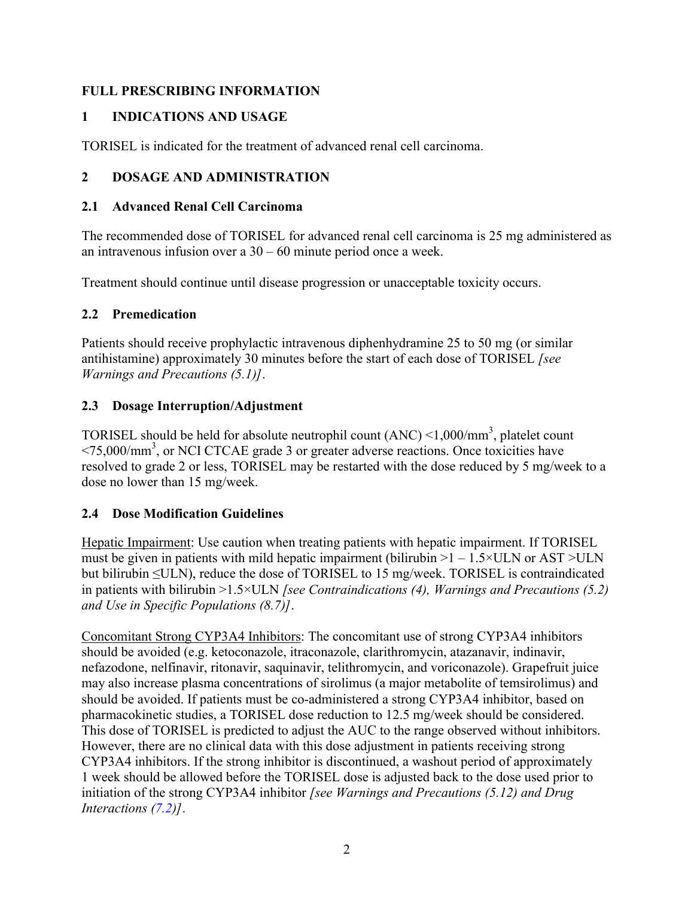## **FULL PRESCRIBING INFORMATION**

# <span id="page-1-1"></span>**1 INDICATIONS AND USAGE**

TORISEL is indicated for the treatment of advanced renal cell carcinoma.

# <span id="page-1-0"></span>**2 DOSAGE AND ADMINISTRATION**

## **2.1 Advanced Renal Cell Carcinoma**

The recommended dose of TORISEL for advanced renal cell carcinoma is 25 mg administered as an intravenous infusion over a 30 – 60 minute period once a week.

Treatment should continue until disease progression or unacceptable toxicity occurs.

# <span id="page-1-2"></span>**2.2 Premedication**

Patients should receive prophylactic intravenous diphenhydramine 25 to 50 mg (or similar antihistamine) approximately 30 minutes before the start of each dose of TORISEL *[see Warnings and Precautions (5.1)]*.

# **2.3 Dosage Interruption/Adjustment**

TORISEL should be held for absolute neutrophil count  $(ANC) < 1,000/mm^3$ , platelet count <75,000/mm<sup>3</sup> , or NCI CTCAE grade 3 or greater adverse reactions. Once toxicities have resolved to grade 2 or less, TORISEL may be restarted with the dose reduced by 5 mg/week to a dose no lower than 15 mg/week.

# <span id="page-1-3"></span>**2.4 Dose Modification Guidelines**

Hepatic Impairment: Use caution when treating patients with hepatic impairment. If TORISEL must be given in patients with mild hepatic impairment (bilirubin  $>1 - 1.5 \times ULN$  or AST  $>ULN$ but bilirubin ≤ULN), reduce the dose of TORISEL to 15 mg/week. TORISEL is contraindicated in patients with bilirubin >1.5×ULN *[see Contraindications (4), Warnings and Precautions (5.2) and Use in Specific Populations (8.7)]*.

Concomitant Strong CYP3A4 Inhibitors: The concomitant use of strong CYP3A4 inhibitors should be avoided (e.g. ketoconazole, itraconazole, clarithromycin, atazanavir, indinavir, nefazodone, nelfinavir, ritonavir, saquinavir, telithromycin, and voriconazole). Grapefruit juice may also increase plasma concentrations of sirolimus (a major metabolite of temsirolimus) and should be avoided. If patients must be co-administered a strong CYP3A4 inhibitor, based on pharmacokinetic studies, a TORISEL dose reduction to 12.5 mg/week should be considered. This dose of TORISEL is predicted to adjust the AUC to the range observed without inhibitors. However, there are no clinical data with this dose adjustment in patients receiving strong CYP3A4 inhibitors. If the strong inhibitor is discontinued, a washout period of approximately 1 week should be allowed before the TORISEL dose is adjusted back to the dose used prior to initiation of the strong CYP3A4 inhibitor *[see Warnings and Precautions (5.12) and Drug Interactions [\(7.2](#page-12-0))]*.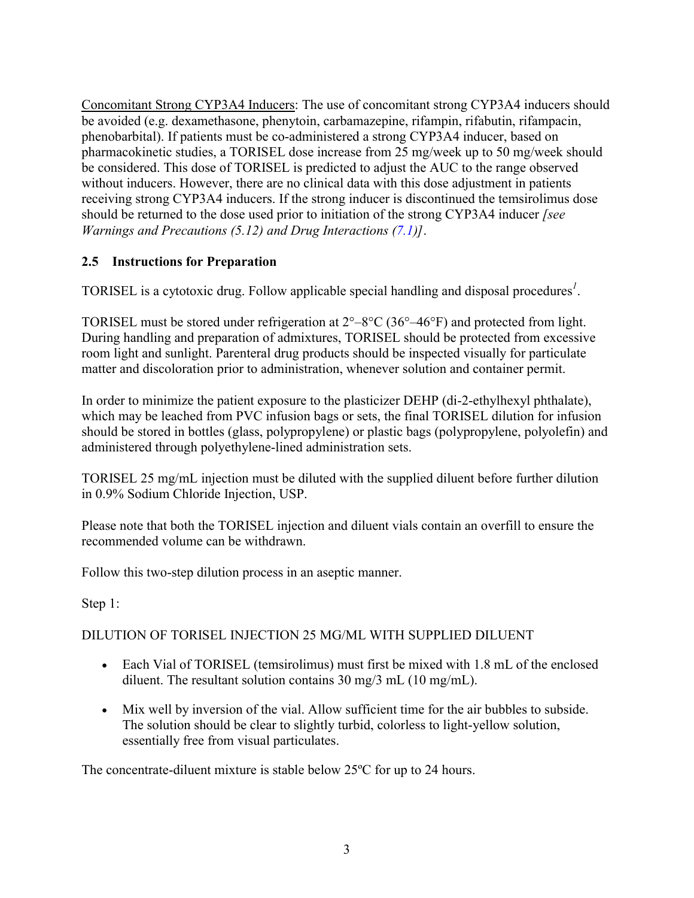Concomitant Strong CYP3A4 Inducers: The use of concomitant strong CYP3A4 inducers should be avoided (e.g. dexamethasone, phenytoin, carbamazepine, rifampin, rifabutin, rifampacin, phenobarbital). If patients must be co-administered a strong CYP3A4 inducer, based on pharmacokinetic studies, a TORISEL dose increase from 25 mg/week up to 50 mg/week should be considered. This dose of TORISEL is predicted to adjust the AUC to the range observed without inducers. However, there are no clinical data with this dose adjustment in patients receiving strong CYP3A4 inducers. If the strong inducer is discontinued the temsirolimus dose should be returned to the dose used prior to initiation of the strong CYP3A4 inducer *[see Warnings and Precautions (5.12) and Drug Interactions ([7.1\)](#page-12-1)]*.

## **2.5 Instructions for Preparation**

TORISEL is a cytotoxic drug. Follow applicable special handling and disposal procedures*<sup>1</sup>* .

TORISEL must be stored under refrigeration at 2°–8°C (36°–46°F) and protected from light. During handling and preparation of admixtures, TORISEL should be protected from excessive room light and sunlight. Parenteral drug products should be inspected visually for particulate matter and discoloration prior to administration, whenever solution and container permit.

In order to minimize the patient exposure to the plasticizer DEHP (di-2-ethylhexyl phthalate), which may be leached from PVC infusion bags or sets, the final TORISEL dilution for infusion should be stored in bottles (glass, polypropylene) or plastic bags (polypropylene, polyolefin) and administered through polyethylene-lined administration sets.

TORISEL 25 mg/mL injection must be diluted with the supplied diluent before further dilution in 0.9% Sodium Chloride Injection, USP.

Please note that both the TORISEL injection and diluent vials contain an overfill to ensure the recommended volume can be withdrawn.

Follow this two-step dilution process in an aseptic manner.

Step 1:

#### DILUTION OF TORISEL INJECTION 25 MG/ML WITH SUPPLIED DILUENT

- Each Vial of TORISEL (temsirolimus) must first be mixed with 1.8 mL of the enclosed diluent. The resultant solution contains 30 mg/3 mL (10 mg/mL).
- Mix well by inversion of the vial. Allow sufficient time for the air bubbles to subside. The solution should be clear to slightly turbid, colorless to light-yellow solution, essentially free from visual particulates.

The concentrate-diluent mixture is stable below 25ºC for up to 24 hours.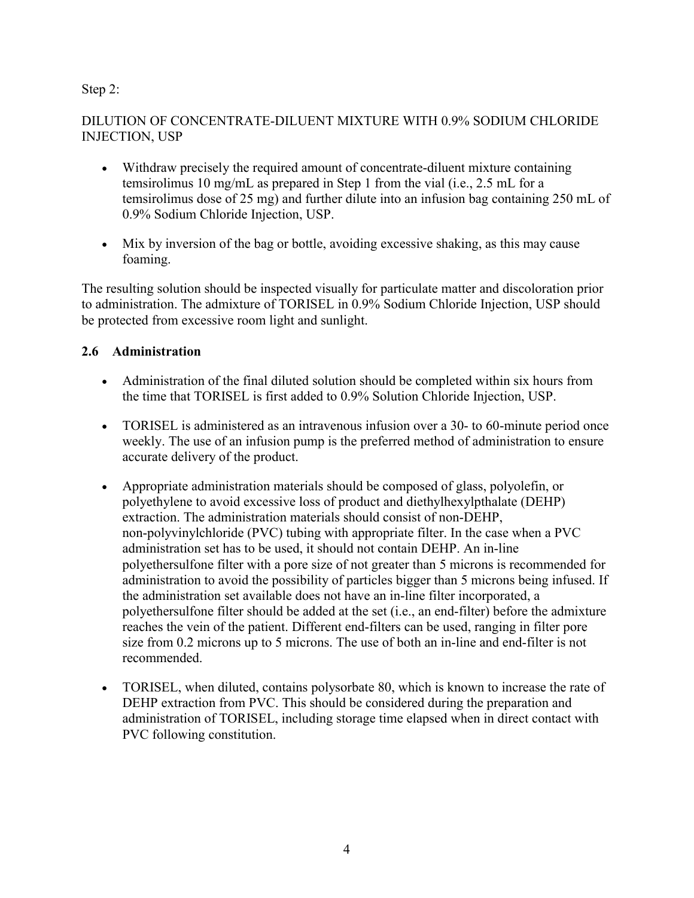#### Step 2:

#### DILUTION OF CONCENTRATE-DILUENT MIXTURE WITH 0.9% SODIUM CHLORIDE INJECTION, USP

- Withdraw precisely the required amount of concentrate-diluent mixture containing temsirolimus 10 mg/mL as prepared in Step 1 from the vial (i.e., 2.5 mL for a temsirolimus dose of 25 mg) and further dilute into an infusion bag containing 250 mL of 0.9% Sodium Chloride Injection, USP.
- Mix by inversion of the bag or bottle, avoiding excessive shaking, as this may cause foaming.

The resulting solution should be inspected visually for particulate matter and discoloration prior to administration. The admixture of TORISEL in 0.9% Sodium Chloride Injection, USP should be protected from excessive room light and sunlight.

#### **2.6 Administration**

- Administration of the final diluted solution should be completed within six hours from the time that TORISEL is first added to 0.9% Solution Chloride Injection, USP.
- TORISEL is administered as an intravenous infusion over a 30- to 60-minute period once weekly. The use of an infusion pump is the preferred method of administration to ensure accurate delivery of the product.
- Appropriate administration materials should be composed of glass, polyolefin, or polyethylene to avoid excessive loss of product and diethylhexylpthalate (DEHP) extraction. The administration materials should consist of non-DEHP, non-polyvinylchloride (PVC) tubing with appropriate filter. In the case when a PVC administration set has to be used, it should not contain DEHP. An in-line polyethersulfone filter with a pore size of not greater than 5 microns is recommended for administration to avoid the possibility of particles bigger than 5 microns being infused. If the administration set available does not have an in-line filter incorporated, a polyethersulfone filter should be added at the set (i.e., an end-filter) before the admixture reaches the vein of the patient. Different end-filters can be used, ranging in filter pore size from 0.2 microns up to 5 microns. The use of both an in-line and end-filter is not recommended.
- TORISEL, when diluted, contains polysorbate 80, which is known to increase the rate of DEHP extraction from PVC. This should be considered during the preparation and administration of TORISEL, including storage time elapsed when in direct contact with PVC following constitution.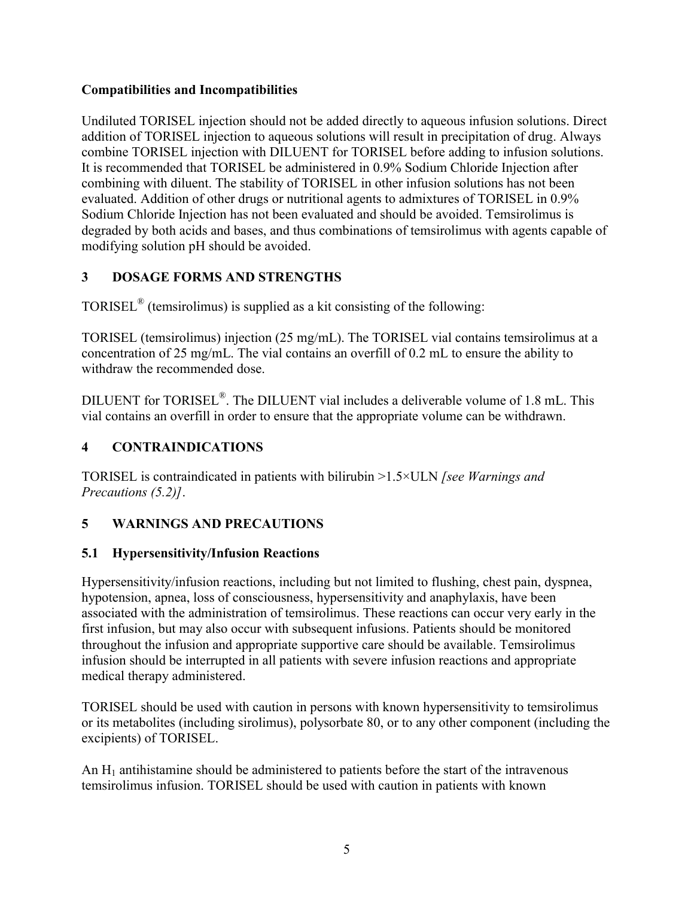#### **Compatibilities and Incompatibilities**

Undiluted TORISEL injection should not be added directly to aqueous infusion solutions. Direct addition of TORISEL injection to aqueous solutions will result in precipitation of drug. Always combine TORISEL injection with DILUENT for TORISEL before adding to infusion solutions. It is recommended that TORISEL be administered in 0.9% Sodium Chloride Injection after combining with diluent. The stability of TORISEL in other infusion solutions has not been evaluated. Addition of other drugs or nutritional agents to admixtures of TORISEL in 0.9% Sodium Chloride Injection has not been evaluated and should be avoided. Temsirolimus is degraded by both acids and bases, and thus combinations of temsirolimus with agents capable of modifying solution pH should be avoided.

## <span id="page-4-2"></span>**3 DOSAGE FORMS AND STRENGTHS**

TORISEL<sup>®</sup> (temsirolimus) is supplied as a kit consisting of the following:

TORISEL (temsirolimus) injection (25 mg/mL). The TORISEL vial contains temsirolimus at a concentration of 25 mg/mL. The vial contains an overfill of 0.2 mL to ensure the ability to withdraw the recommended dose.

DILUENT for TORISEL<sup>®</sup>. The DILUENT vial includes a deliverable volume of 1.8 mL. This vial contains an overfill in order to ensure that the appropriate volume can be withdrawn.

## <span id="page-4-1"></span>**4 CONTRAINDICATIONS**

TORISEL is contraindicated in patients with bilirubin >1.5×ULN *[see Warnings and Precautions (5.2)]*.

## <span id="page-4-0"></span>**5 WARNINGS AND PRECAUTIONS**

## <span id="page-4-3"></span>**5.1 Hypersensitivity/Infusion Reactions**

Hypersensitivity/infusion reactions, including but not limited to flushing, chest pain, dyspnea, hypotension, apnea, loss of consciousness, hypersensitivity and anaphylaxis, have been associated with the administration of temsirolimus. These reactions can occur very early in the first infusion, but may also occur with subsequent infusions. Patients should be monitored throughout the infusion and appropriate supportive care should be available. Temsirolimus infusion should be interrupted in all patients with severe infusion reactions and appropriate medical therapy administered.

TORISEL should be used with caution in persons with known hypersensitivity to temsirolimus or its metabolites (including sirolimus), polysorbate 80, or to any other component (including the excipients) of TORISEL.

An  $H_1$  antihistamine should be administered to patients before the start of the intravenous temsirolimus infusion. TORISEL should be used with caution in patients with known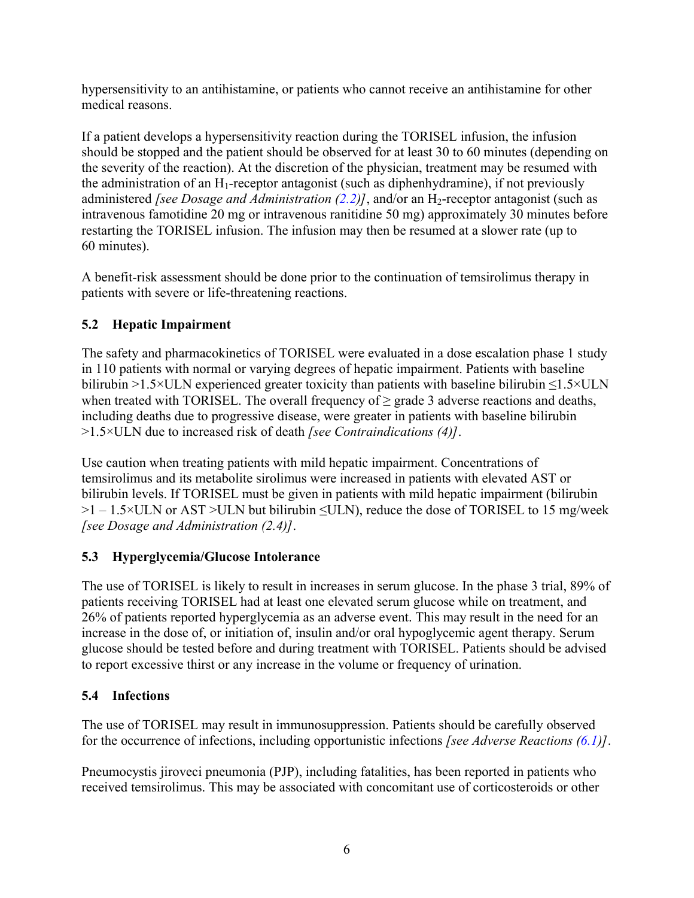hypersensitivity to an antihistamine, or patients who cannot receive an antihistamine for other medical reasons.

If a patient develops a hypersensitivity reaction during the TORISEL infusion, the infusion should be stopped and the patient should be observed for at least 30 to 60 minutes (depending on the severity of the reaction). At the discretion of the physician, treatment may be resumed with the administration of an  $H_1$ -receptor antagonist (such as diphenhydramine), if not previously administered *[see Dosage and Administration*  $(2.2)$  $(2.2)$ *]*, and/or an  $H_2$ -receptor antagonist (such as intravenous famotidine 20 mg or intravenous ranitidine 50 mg) approximately 30 minutes before restarting the TORISEL infusion. The infusion may then be resumed at a slower rate (up to 60 minutes).

A benefit-risk assessment should be done prior to the continuation of temsirolimus therapy in patients with severe or life-threatening reactions.

# <span id="page-5-1"></span>**5.2 Hepatic Impairment**

The safety and pharmacokinetics of TORISEL were evaluated in a dose escalation phase 1 study in 110 patients with normal or varying degrees of hepatic impairment. Patients with baseline bilirubin >1.5×ULN experienced greater toxicity than patients with baseline bilirubin ≤1.5×ULN when treated with TORISEL. The overall frequency of  $\geq$  grade 3 adverse reactions and deaths, including deaths due to progressive disease, were greater in patients with baseline bilirubin >1.5×ULN due to increased risk of death *[see Contraindications (4)]*.

Use caution when treating patients with mild hepatic impairment. Concentrations of temsirolimus and its metabolite sirolimus were increased in patients with elevated AST or bilirubin levels. If TORISEL must be given in patients with mild hepatic impairment (bilirubin >1 – 1.5×ULN or AST >ULN but bilirubin ≤ULN), reduce the dose of TORISEL to 15 mg/week *[see Dosage and Administration (2.4)]*.

# **5.3 Hyperglycemia/Glucose Intolerance**

The use of TORISEL is likely to result in increases in serum glucose. In the phase 3 trial, 89% of patients receiving TORISEL had at least one elevated serum glucose while on treatment, and 26% of patients reported hyperglycemia as an adverse event. This may result in the need for an increase in the dose of, or initiation of, insulin and/or oral hypoglycemic agent therapy. Serum glucose should be tested before and during treatment with TORISEL. Patients should be advised to report excessive thirst or any increase in the volume or frequency of urination.

# <span id="page-5-0"></span>**5.4 Infections**

The use of TORISEL may result in immunosuppression. Patients should be carefully observed for the occurrence of infections, including opportunistic infections *[see Adverse Reactions [\(6.1\)](#page-11-0)]*.

Pneumocystis jiroveci pneumonia (PJP), including fatalities, has been reported in patients who received temsirolimus. This may be associated with concomitant use of corticosteroids or other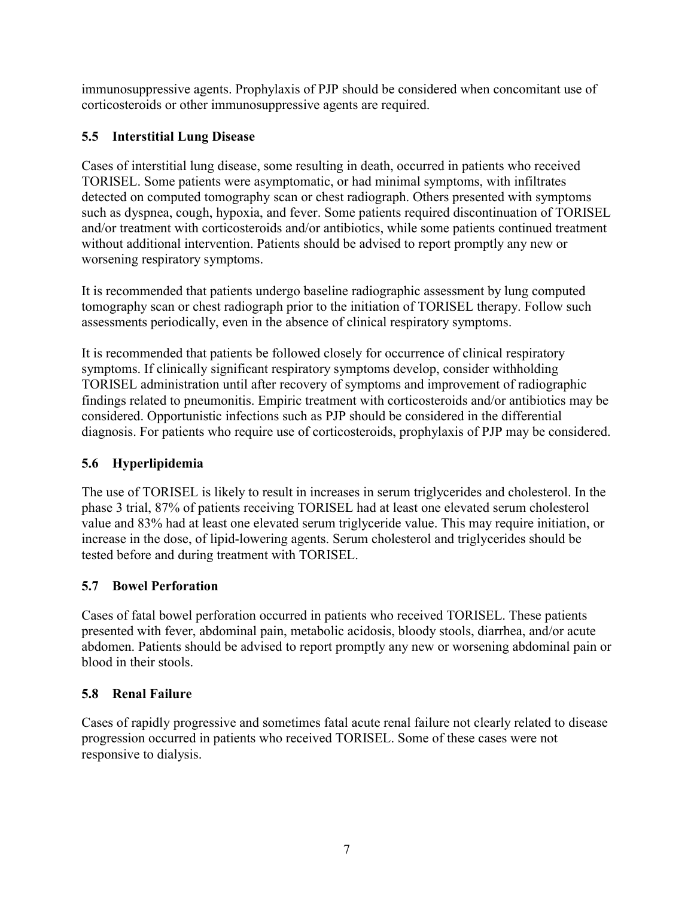immunosuppressive agents. Prophylaxis of PJP should be considered when concomitant use of corticosteroids or other immunosuppressive agents are required.

# <span id="page-6-2"></span>**5.5 Interstitial Lung Disease**

Cases of interstitial lung disease, some resulting in death, occurred in patients who received TORISEL. Some patients were asymptomatic, or had minimal symptoms, with infiltrates detected on computed tomography scan or chest radiograph. Others presented with symptoms such as dyspnea, cough, hypoxia, and fever. Some patients required discontinuation of TORISEL and/or treatment with corticosteroids and/or antibiotics, while some patients continued treatment without additional intervention. Patients should be advised to report promptly any new or worsening respiratory symptoms.

It is recommended that patients undergo baseline radiographic assessment by lung computed tomography scan or chest radiograph prior to the initiation of TORISEL therapy. Follow such assessments periodically, even in the absence of clinical respiratory symptoms.

It is recommended that patients be followed closely for occurrence of clinical respiratory symptoms. If clinically significant respiratory symptoms develop, consider withholding TORISEL administration until after recovery of symptoms and improvement of radiographic findings related to pneumonitis. Empiric treatment with corticosteroids and/or antibiotics may be considered. Opportunistic infections such as PJP should be considered in the differential diagnosis. For patients who require use of corticosteroids, prophylaxis of PJP may be considered.

# <span id="page-6-3"></span>**5.6 Hyperlipidemia**

The use of TORISEL is likely to result in increases in serum triglycerides and cholesterol. In the phase 3 trial, 87% of patients receiving TORISEL had at least one elevated serum cholesterol value and 83% had at least one elevated serum triglyceride value. This may require initiation, or increase in the dose, of lipid-lowering agents. Serum cholesterol and triglycerides should be tested before and during treatment with TORISEL.

# <span id="page-6-1"></span>**5.7 Bowel Perforation**

Cases of fatal bowel perforation occurred in patients who received TORISEL. These patients presented with fever, abdominal pain, metabolic acidosis, bloody stools, diarrhea, and/or acute abdomen. Patients should be advised to report promptly any new or worsening abdominal pain or blood in their stools.

# <span id="page-6-0"></span>**5.8 Renal Failure**

Cases of rapidly progressive and sometimes fatal acute renal failure not clearly related to disease progression occurred in patients who received TORISEL. Some of these cases were not responsive to dialysis.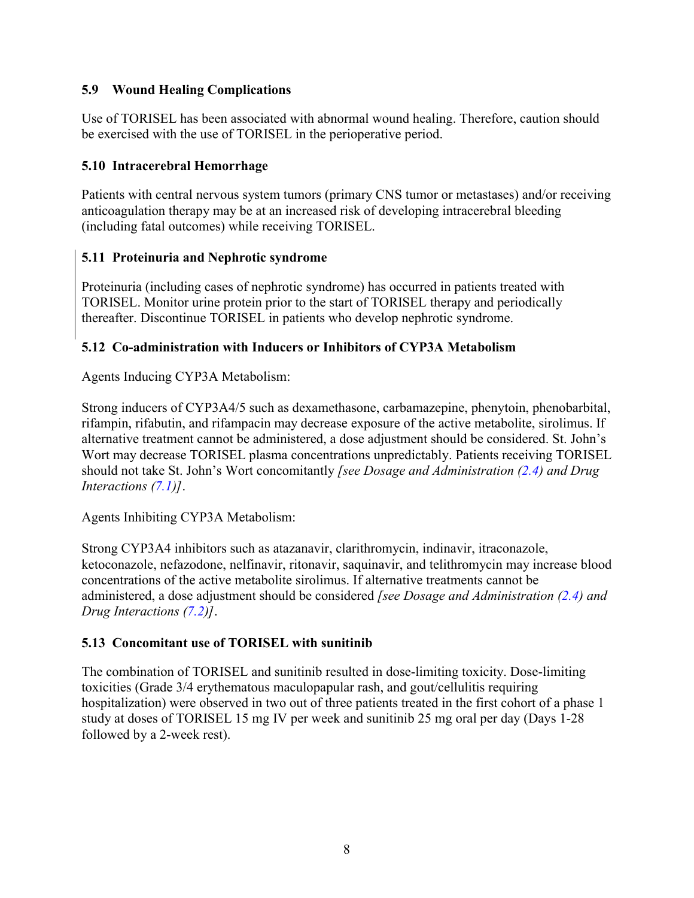#### <span id="page-7-0"></span>**5.9 Wound Healing Complications**

Use of TORISEL has been associated with abnormal wound healing. Therefore, caution should be exercised with the use of TORISEL in the perioperative period.

#### **5.10 Intracerebral Hemorrhage**

Patients with central nervous system tumors (primary CNS tumor or metastases) and/or receiving anticoagulation therapy may be at an increased risk of developing intracerebral bleeding (including fatal outcomes) while receiving TORISEL.

#### **5.11 Proteinuria and Nephrotic syndrome**

Proteinuria (including cases of nephrotic syndrome) has occurred in patients treated with TORISEL. Monitor urine protein prior to the start of TORISEL therapy and periodically thereafter. Discontinue TORISEL in patients who develop nephrotic syndrome.

## **5.12 Co-administration with Inducers or Inhibitors of CYP3A Metabolism**

Agents Inducing CYP3A Metabolism:

Strong inducers of CYP3A4/5 such as dexamethasone, carbamazepine, phenytoin, phenobarbital, rifampin, rifabutin, and rifampacin may decrease exposure of the active metabolite, sirolimus. If alternative treatment cannot be administered, a dose adjustment should be considered. St. John's Wort may decrease TORISEL plasma concentrations unpredictably. Patients receiving TORISEL should not take St. John's Wort concomitantly *[see Dosage and Administration ([2.4\)](#page-1-3) and Drug Interactions [\(7.1](#page-12-1))]*.

Agents Inhibiting CYP3A Metabolism:

Strong CYP3A4 inhibitors such as atazanavir, clarithromycin, indinavir, itraconazole, ketoconazole, nefazodone, nelfinavir, ritonavir, saquinavir, and telithromycin may increase blood concentrations of the active metabolite sirolimus. If alternative treatments cannot be administered, a dose adjustment should be considered *[see Dosage and Administration ([2.4\)](#page-1-3) and Drug Interactions [\(7.2](#page-12-0))]*.

## **5.13 Concomitant use of TORISEL with sunitinib**

The combination of TORISEL and sunitinib resulted in dose-limiting toxicity. Dose-limiting toxicities (Grade 3/4 erythematous maculopapular rash, and gout/cellulitis requiring hospitalization) were observed in two out of three patients treated in the first cohort of a phase 1 study at doses of TORISEL 15 mg IV per week and sunitinib 25 mg oral per day (Days 1-28 followed by a 2-week rest).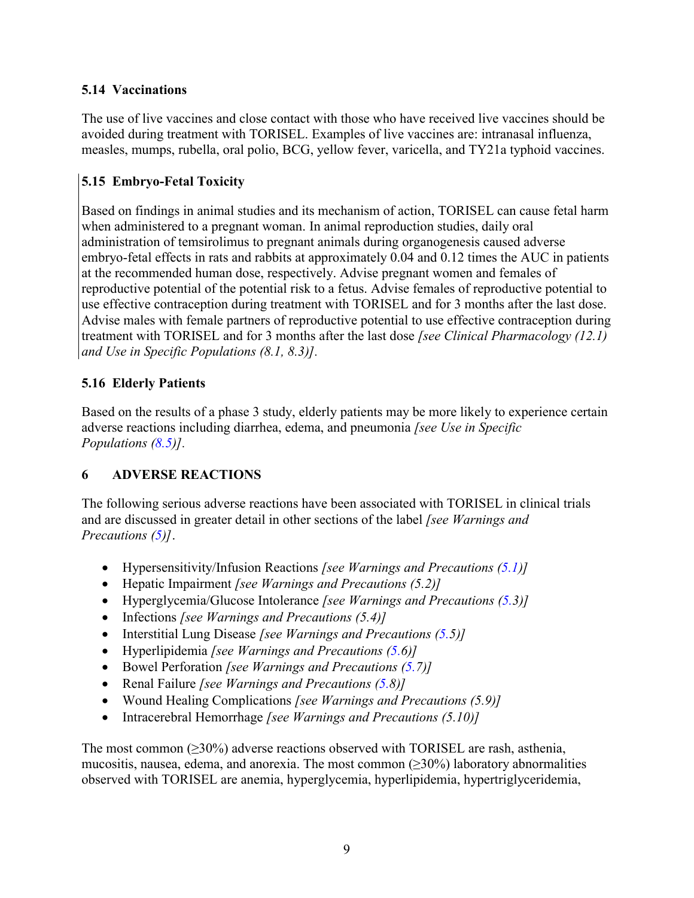#### <span id="page-8-1"></span><span id="page-8-0"></span>**5.14 Vaccinations**

The use of live vaccines and close contact with those who have received live vaccines should be avoided during treatment with TORISEL. Examples of live vaccines are: intranasal influenza, measles, mumps, rubella, oral polio, BCG, yellow fever, varicella, and TY21a typhoid vaccines.

## **5.15 Embryo-Fetal Toxicity**

Based on findings in animal studies and its mechanism of action, TORISEL can cause fetal harm when administered to a pregnant woman. In animal reproduction studies, daily oral administration of temsirolimus to pregnant animals during organogenesis caused adverse embryo-fetal effects in rats and rabbits at approximately 0.04 and 0.12 times the AUC in patients at the recommended human dose, respectively. Advise pregnant women and females of reproductive potential of the potential risk to a fetus. Advise females of reproductive potential to use effective contraception during treatment with TORISEL and for 3 months after the last dose. Advise males with female partners of reproductive potential to use effective contraception during treatment with TORISEL and for 3 months after the last dose *[see Clinical Pharmacology (12.1) and Use in Specific Populations (8.1, 8.3)].*

## **5.16 Elderly Patients**

Based on the results of a phase 3 study, elderly patients may be more likely to experience certain adverse reactions including diarrhea, edema, and pneumonia *[see Use in Specific Populations [\(8.5](#page-15-0))].*

## **6 ADVERSE REACTIONS**

The following serious adverse reactions have been associated with TORISEL in clinical trials and are discussed in greater detail in other sections of the label *[see Warnings and Precautions [\(5](#page-4-0))]*.

- Hypersensitivity/Infusion Reactions *[see Warnings and Precautions ([5.1\)](#page-4-3)]*
- Hepatic Impairment *[see Warnings and Precautions (5.2)]*
- Hyperglycemia/Glucose Intolerance *[see Warnings and Precautions [\(5.](#page-5-1)3)]*
- Infections *[see Warnings and Precautions (5.4)]*
- Interstitial Lung Disease *[see Warnings and Precautions ([5.5](#page-6-2))]*
- Hyperlipidemia *[see Warnings and Precautions ([5.6](#page-6-3))]*
- Bowel Perforation *[see Warnings and Precautions ([5.7](#page-6-1))]*
- Renal Failure *[see Warnings and Precautions ([5.8](#page-6-0))]*
- Wound Healing Complications *[see Warnings and Precautions (5.9)]*
- Intracerebral Hemorrhage *[see Warnings and Precautions (5.10)]*

The most common  $(\geq 30\%)$  adverse reactions observed with TORISEL are rash, asthenia, mucositis, nausea, edema, and anorexia. The most common  $(\geq 30\%)$  laboratory abnormalities observed with TORISEL are anemia, hyperglycemia, hyperlipidemia, hypertriglyceridemia,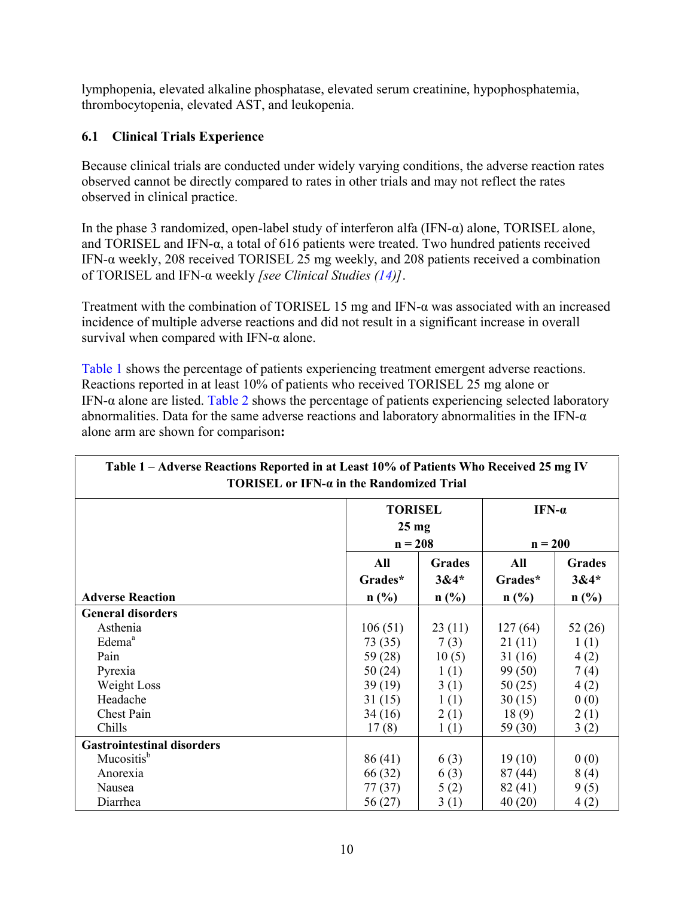lymphopenia, elevated alkaline phosphatase, elevated serum creatinine, hypophosphatemia, thrombocytopenia, elevated AST, and leukopenia.

## **6.1 Clinical Trials Experience**

Because clinical trials are conducted under widely varying conditions, the adverse reaction rates observed cannot be directly compared to rates in other trials and may not reflect the rates observed in clinical practice.

In the phase 3 randomized, open-label study of interferon alfa (IFN-α) alone, TORISEL alone, and TORISEL and IFN-α, a total of 616 patients were treated. Two hundred patients received IFN-α weekly, 208 received TORISEL 25 mg weekly, and 208 patients received a combination of TORISEL and IFN-α weekly *[see Clinical Studies [\(14](#page-19-0))]*.

Treatment with the combination of TORISEL 15 mg and IFN-α was associated with an increased incidence of multiple adverse reactions and did not result in a significant increase in overall survival when compared with IFN- $\alpha$  alone.

[Table 1](#page-9-0) shows the percentage of patients experiencing treatment emergent adverse reactions. Reactions reported in at least 10% of patients who received TORISEL 25 mg alone or IFN- $\alpha$  alone are listed. [Table 2](#page-11-1) shows the percentage of patients experiencing selected laboratory abnormalities. Data for the same adverse reactions and laboratory abnormalities in the IFN- $\alpha$ alone arm are shown for comparison**:**

<span id="page-9-0"></span>

| Table 1 – Adverse Reactions Reported in at Least 10% of Patients Who Received 25 mg IV<br>TORISEL or IFN-a in the Randomized Trial |                                                |                                    |                            |                                    |
|------------------------------------------------------------------------------------------------------------------------------------|------------------------------------------------|------------------------------------|----------------------------|------------------------------------|
|                                                                                                                                    | <b>TORISEL</b><br>$25 \text{ mg}$<br>$n = 208$ |                                    | IFN- $\alpha$<br>$n = 200$ |                                    |
| <b>Adverse Reaction</b>                                                                                                            | All<br>Grades*<br>$n$ (%)                      | <b>Grades</b><br>$3&4*$<br>$n$ (%) | All<br>Grades*<br>$n$ (%)  | <b>Grades</b><br>$3&4*$<br>$n$ (%) |
| <b>General disorders</b>                                                                                                           |                                                |                                    |                            |                                    |
| Asthenia                                                                                                                           | 106(51)                                        | 23(11)                             | 127(64)                    | 52 (26)                            |
| Edema <sup>a</sup>                                                                                                                 | 73 (35)                                        | 7(3)                               | 21(11)                     | 1(1)                               |
| Pain                                                                                                                               | 59 (28)                                        | 10(5)                              | 31(16)                     | 4(2)                               |
| Pyrexia                                                                                                                            | 50(24)                                         | 1(1)                               | 99(50)                     | 7(4)                               |
| Weight Loss                                                                                                                        | 39(19)                                         | 3(1)                               | 50(25)                     | 4(2)                               |
| Headache                                                                                                                           | 31(15)                                         | 1(1)                               | 30(15)                     | 0(0)                               |
| Chest Pain                                                                                                                         | 34(16)                                         | 2(1)                               | 18(9)                      | 2(1)                               |
| Chills                                                                                                                             | 17(8)                                          | 1(1)                               | 59 (30)                    | 3(2)                               |
| <b>Gastrointestinal disorders</b>                                                                                                  |                                                |                                    |                            |                                    |
| Mucositis <sup>b</sup>                                                                                                             | 86(41)                                         | 6(3)                               | 19(10)                     | 0(0)                               |
| Anorexia                                                                                                                           | 66 (32)                                        | 6(3)                               | 87(44)                     | 8(4)                               |
| Nausea                                                                                                                             | 77 (37)                                        | 5(2)                               | 82(41)                     | 9(5)                               |
| Diarrhea                                                                                                                           | 56 (27)                                        | 3(1)                               | 40(20)                     | 4(2)                               |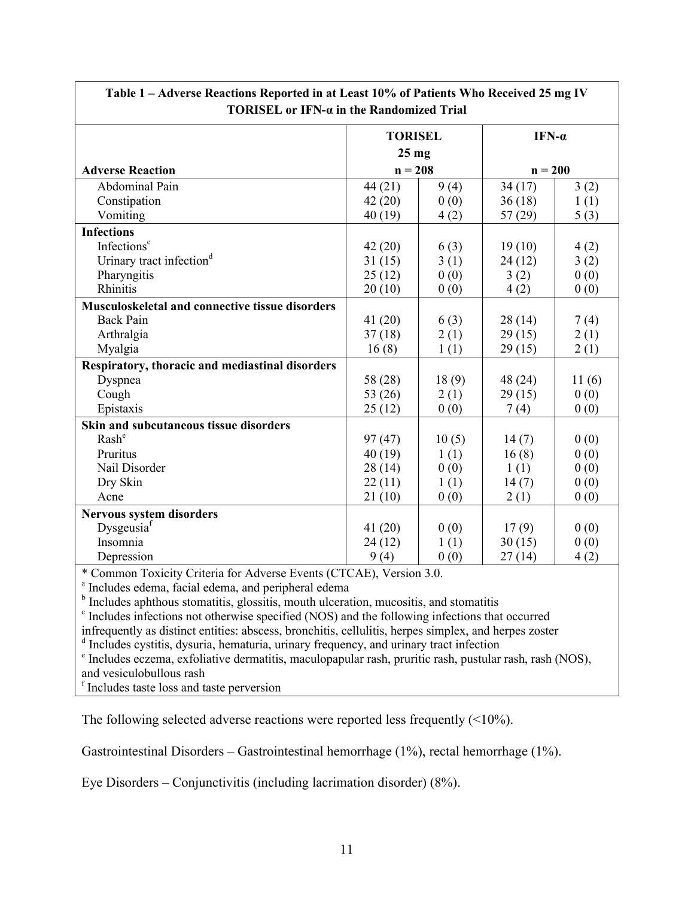| <b>TORISEL</b><br>$25$ mg                              |       | IFN- $\alpha$ |       |  |
|--------------------------------------------------------|-------|---------------|-------|--|
|                                                        |       |               |       |  |
|                                                        |       |               |       |  |
| $n = 208$<br><b>Adverse Reaction</b>                   |       | $n = 200$     |       |  |
| <b>Abdominal Pain</b><br>44(21)                        | 9(4)  | 34(17)        | 3(2)  |  |
| Constipation<br>42(20)                                 | 0(0)  | 36(18)        | 1(1)  |  |
| Vomiting<br>40(19)                                     | 4(2)  | 57(29)        | 5(3)  |  |
| <b>Infections</b>                                      |       |               |       |  |
| Infections <sup>c</sup><br>42(20)                      | 6(3)  | 19(10)        | 4(2)  |  |
| Urinary tract infection <sup>d</sup><br>31(15)         | 3(1)  | 24(12)        | 3(2)  |  |
| Pharyngitis<br>25(12)                                  | 0(0)  | 3(2)          | 0(0)  |  |
| Rhinitis<br>20(10)                                     | 0(0)  | 4(2)          | 0(0)  |  |
| <b>Musculoskeletal and connective tissue disorders</b> |       |               |       |  |
| <b>Back Pain</b><br>41(20)                             | 6(3)  | 28(14)        | 7(4)  |  |
| Arthralgia<br>37(18)                                   | 2(1)  | 29(15)        | 2(1)  |  |
| Myalgia<br>16(8)                                       | 1(1)  | 29(15)        | 2(1)  |  |
| Respiratory, thoracic and mediastinal disorders        |       |               |       |  |
| Dyspnea<br>58 (28)                                     | 18(9) | 48 (24)       | 11(6) |  |
| Cough<br>53 (26)                                       | 2(1)  | 29(15)        | 0(0)  |  |
| Epistaxis<br>25(12)                                    | 0(0)  | 7(4)          | 0(0)  |  |
| Skin and subcutaneous tissue disorders                 |       |               |       |  |
| Rash <sup>e</sup><br>97(47)                            | 10(5) | 14(7)         | 0(0)  |  |
| Pruritus<br>40(19)                                     | 1(1)  | 16(8)         | 0(0)  |  |
| Nail Disorder<br>28(14)                                | 0(0)  | 1(1)          | 0(0)  |  |
| Dry Skin<br>22(11)                                     | 1(1)  | 14(7)         | 0(0)  |  |
| Acne<br>21(10)                                         | 0(0)  | 2(1)          | 0(0)  |  |
| <b>Nervous system disorders</b>                        |       |               |       |  |
| Dysgeusia <sup>f</sup><br>41(20)                       | 0(0)  | 17(9)         | 0(0)  |  |
| Insomnia<br>24(12)                                     | 1(1)  | 30(15)        | 0(0)  |  |
| Depression<br>9(4)                                     | 0(0)  | 27(14)        | 4(2)  |  |

**Table 1 – Adverse Reactions Reported in at Least 10% of Patients Who Received 25 mg IV** 

\* Common Toxicity Criteria for Adverse Events (CTCAE), Version 3.0.

a Includes edema, facial edema, and peripheral edema

<sup>b</sup> Includes aphthous stomatitis, glossitis, mouth ulceration, mucositis, and stomatitis

c Includes infections not otherwise specified (NOS) and the following infections that occurred

infrequently as distinct entities: abscess, bronchitis, cellulitis, herpes simplex, and herpes zoster

<sup>d</sup> Includes cystitis, dysuria, hematuria, urinary frequency, and urinary tract infection

e Includes eczema, exfoliative dermatitis, maculopapular rash, pruritic rash, pustular rash, rash (NOS), and vesiculobullous rash

f Includes taste loss and taste perversion

The following selected adverse reactions were reported less frequently (<10%).

Gastrointestinal Disorders – Gastrointestinal hemorrhage (1%), rectal hemorrhage (1%).

Eye Disorders – Conjunctivitis (including lacrimation disorder) (8%).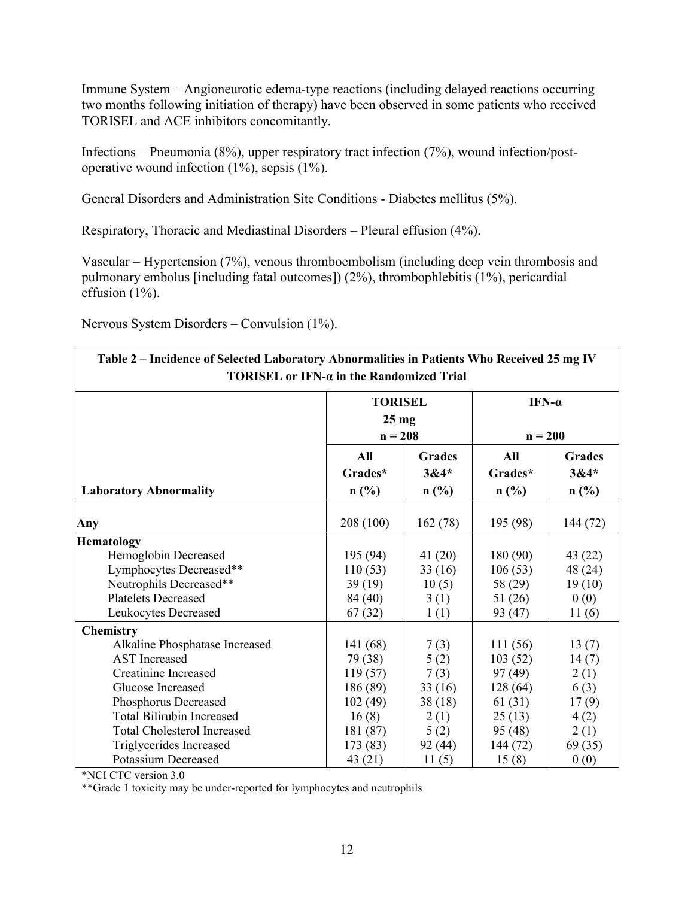Immune System – Angioneurotic edema-type reactions (including delayed reactions occurring two months following initiation of therapy) have been observed in some patients who received TORISEL and ACE inhibitors concomitantly.

Infections – Pneumonia (8%), upper respiratory tract infection (7%), wound infection/postoperative wound infection (1%), sepsis (1%).

General Disorders and Administration Site Conditions - Diabetes mellitus (5%).

Respiratory, Thoracic and Mediastinal Disorders – Pleural effusion (4%).

Vascular – Hypertension (7%), venous thromboembolism (including deep vein thrombosis and pulmonary embolus [including fatal outcomes]) (2%), thrombophlebitis (1%), pericardial effusion (1%).

Nervous System Disorders – Convulsion (1%).

<span id="page-11-1"></span>

| Table 2 – Incidence of Selected Laboratory Abnormalities in Patients Who Received 25 mg IV<br>TORISEL or IFN-a in the Randomized Trial |                      |                                   |          |               |  |
|----------------------------------------------------------------------------------------------------------------------------------------|----------------------|-----------------------------------|----------|---------------|--|
|                                                                                                                                        |                      | <b>TORISEL</b><br>$25 \text{ mg}$ |          | IFN- $\alpha$ |  |
|                                                                                                                                        |                      | $n = 208$                         |          | $n = 200$     |  |
|                                                                                                                                        | All<br><b>Grades</b> |                                   | All      | <b>Grades</b> |  |
|                                                                                                                                        | Grades*              | $3&4*$                            | Grades*  | $3&4*$        |  |
| <b>Laboratory Abnormality</b>                                                                                                          | $n$ (%)              | $n$ (%)                           | $n$ (%)  | $n$ (%)       |  |
| Any                                                                                                                                    | 208 (100)            | 162(78)                           | 195 (98) | 144 (72)      |  |
| <b>Hematology</b>                                                                                                                      |                      |                                   |          |               |  |
| Hemoglobin Decreased                                                                                                                   | 195 (94)             | 41(20)                            | 180(90)  | 43(22)        |  |
| Lymphocytes Decreased**                                                                                                                | 110(53)              | 33(16)                            | 106(53)  | 48 (24)       |  |
| Neutrophils Decreased**                                                                                                                | 39(19)               | 10(5)                             | 58 (29)  | 19(10)        |  |
| <b>Platelets Decreased</b>                                                                                                             | 84 (40)              | 3(1)                              | 51(26)   | 0(0)          |  |
| Leukocytes Decreased                                                                                                                   | 67(32)               | 1(1)                              | 93 (47)  | 11(6)         |  |
| <b>Chemistry</b>                                                                                                                       |                      |                                   |          |               |  |
| Alkaline Phosphatase Increased                                                                                                         | 141 (68)             | 7(3)                              | 111(56)  | 13(7)         |  |
| <b>AST</b> Increased                                                                                                                   | 79 (38)              | 5(2)                              | 103(52)  | 14(7)         |  |
| <b>Creatinine Increased</b>                                                                                                            | 119(57)              | 7(3)                              | 97(49)   | 2(1)          |  |
| Glucose Increased                                                                                                                      | 186 (89)             | 33(16)                            | 128(64)  | 6(3)          |  |
| Phosphorus Decreased                                                                                                                   | 102(49)              | 38(18)                            | 61(31)   | 17(9)         |  |
| <b>Total Bilirubin Increased</b>                                                                                                       | 16(8)                | 2(1)                              | 25(13)   | 4(2)          |  |
| <b>Total Cholesterol Increased</b>                                                                                                     | 181 (87)             | 5(2)                              | 95 (48)  | 2(1)          |  |
| Triglycerides Increased                                                                                                                | 173(83)              | 92(44)                            | 144 (72) | 69(35)        |  |
| <b>Potassium Decreased</b>                                                                                                             | 43 (21)              | 11(5)                             | 15(8)    | 0(0)          |  |

\*NCI CTC version 3.0

<span id="page-11-0"></span>\*\*Grade 1 toxicity may be under-reported for lymphocytes and neutrophils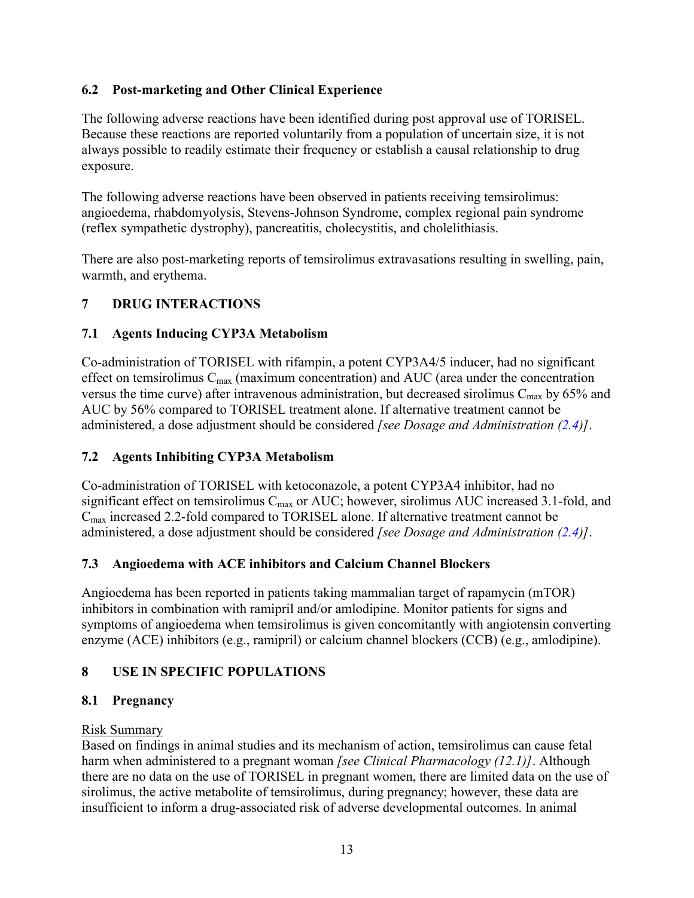## **6.2 Post-marketing and Other Clinical Experience**

The following adverse reactions have been identified during post approval use of TORISEL. Because these reactions are reported voluntarily from a population of uncertain size, it is not always possible to readily estimate their frequency or establish a causal relationship to drug exposure.

The following adverse reactions have been observed in patients receiving temsirolimus: angioedema, rhabdomyolysis, Stevens-Johnson Syndrome, complex regional pain syndrome (reflex sympathetic dystrophy), pancreatitis, cholecystitis, and cholelithiasis.

There are also post-marketing reports of temsirolimus extravasations resulting in swelling, pain, warmth, and erythema.

## **7 DRUG INTERACTIONS**

## **7.1 Agents Inducing CYP3A Metabolism**

Co-administration of TORISEL with rifampin, a potent CYP3A4/5 inducer, had no significant effect on temsirolimus  $C_{\text{max}}$  (maximum concentration) and AUC (area under the concentration versus the time curve) after intravenous administration, but decreased sirolimus  $C_{\text{max}}$  by 65% and AUC by 56% compared to TORISEL treatment alone. If alternative treatment cannot be administered, a dose adjustment should be considered *[see Dosage and Administration ([2.4\)](#page-1-3)]*.

## <span id="page-12-0"></span>**7.2 Agents Inhibiting CYP3A Metabolism**

Co-administration of TORISEL with ketoconazole, a potent CYP3A4 inhibitor, had no significant effect on temsirolimus Cmax or AUC; however, sirolimus AUC increased 3.1-fold, and  $C_{\text{max}}$  increased 2.2-fold compared to TORISEL alone. If alternative treatment cannot be administered, a dose adjustment should be considered *[see Dosage and Administration ([2.4\)](#page-1-3)]*.

## <span id="page-12-1"></span>**7.3 Angioedema with ACE inhibitors and Calcium Channel Blockers**

Angioedema has been reported in patients taking mammalian target of rapamycin (mTOR) inhibitors in combination with ramipril and/or amlodipine. Monitor patients for signs and symptoms of angioedema when temsirolimus is given concomitantly with angiotensin converting enzyme (ACE) inhibitors (e.g., ramipril) or calcium channel blockers (CCB) (e.g., amlodipine).

## **8 USE IN SPECIFIC POPULATIONS**

## **8.1 Pregnancy**

## Risk Summary

Based on findings in animal studies and its mechanism of action, temsirolimus can cause fetal harm when administered to a pregnant woman *[see Clinical Pharmacology (12.1)]*. Although there are no data on the use of TORISEL in pregnant women, there are limited data on the use of sirolimus, the active metabolite of temsirolimus, during pregnancy; however, these data are insufficient to inform a drug-associated risk of adverse developmental outcomes. In animal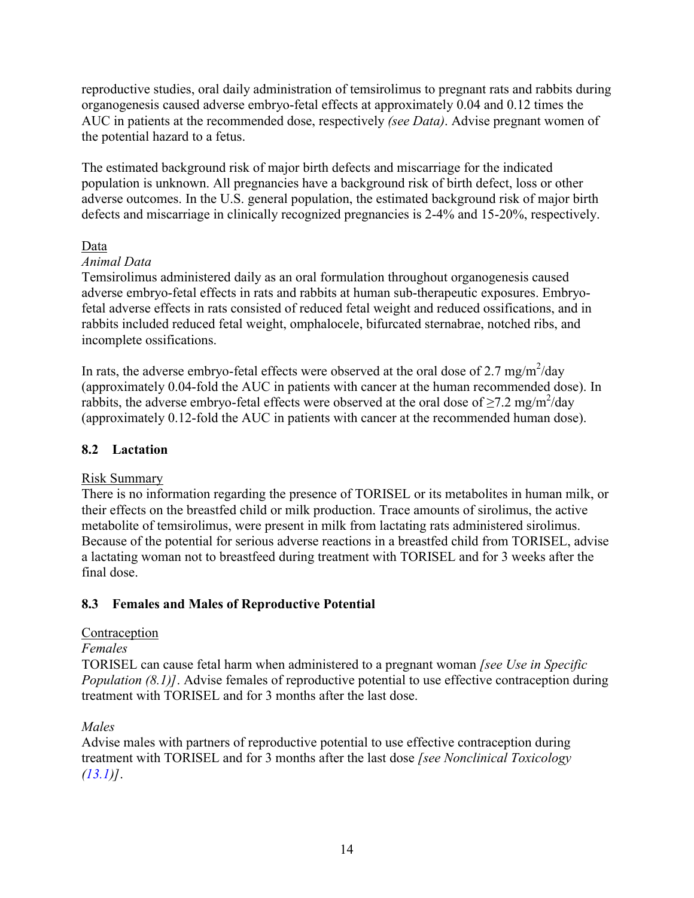reproductive studies, oral daily administration of temsirolimus to pregnant rats and rabbits during organogenesis caused adverse embryo-fetal effects at approximately 0.04 and 0.12 times the AUC in patients at the recommended dose, respectively *(see Data)*. Advise pregnant women of the potential hazard to a fetus.

The estimated background risk of major birth defects and miscarriage for the indicated population is unknown. All pregnancies have a background risk of birth defect, loss or other adverse outcomes. In the U.S. general population, the estimated background risk of major birth defects and miscarriage in clinically recognized pregnancies is 2-4% and 15-20%, respectively.

#### Data

## *Animal Data*

Temsirolimus administered daily as an oral formulation throughout organogenesis caused adverse embryo-fetal effects in rats and rabbits at human sub-therapeutic exposures. Embryofetal adverse effects in rats consisted of reduced fetal weight and reduced ossifications, and in rabbits included reduced fetal weight, omphalocele, bifurcated sternabrae, notched ribs, and incomplete ossifications.

In rats, the adverse embryo-fetal effects were observed at the oral dose of 2.7 mg/m<sup>2</sup>/day (approximately 0.04-fold the AUC in patients with cancer at the human recommended dose). In rabbits, the adverse embryo-fetal effects were observed at the oral dose of  $\geq$ 7.2 mg/m<sup>2</sup>/day (approximately 0.12-fold the AUC in patients with cancer at the recommended human dose).

## **8.2 Lactation**

#### Risk Summary

There is no information regarding the presence of TORISEL or its metabolites in human milk, or their effects on the breastfed child or milk production. Trace amounts of sirolimus, the active metabolite of temsirolimus, were present in milk from lactating rats administered sirolimus. Because of the potential for serious adverse reactions in a breastfed child from TORISEL, advise a lactating woman not to breastfeed during treatment with TORISEL and for 3 weeks after the final dose.

## **8.3 Females and Males of Reproductive Potential**

## Contraception

#### *Females*

TORISEL can cause fetal harm when administered to a pregnant woman *[see Use in Specific Population (8.1)]*. Advise females of reproductive potential to use effective contraception during treatment with TORISEL and for 3 months after the last dose.

## *Males*

Advise males with partners of reproductive potential to use effective contraception during treatment with TORISEL and for 3 months after the last dose *[see Nonclinical Toxicology ([13.1\)](#page-19-1)]*.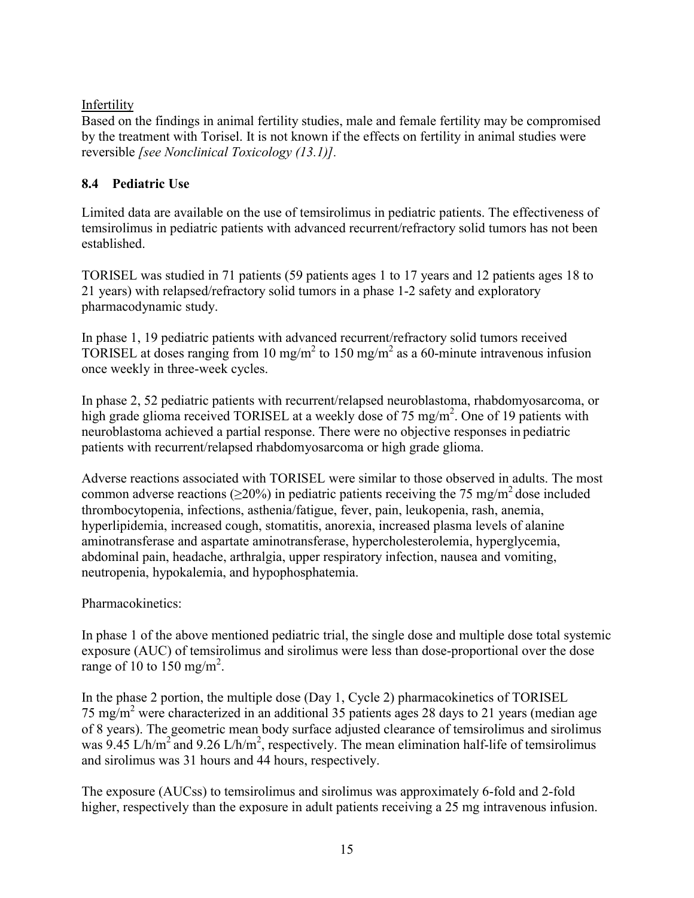#### Infertility

Based on the findings in animal fertility studies, male and female fertility may be compromised by the treatment with Torisel. It is not known if the effects on fertility in animal studies were reversible *[see Nonclinical Toxicology (13.1)].*

## **8.4 Pediatric Use**

Limited data are available on the use of temsirolimus in pediatric patients. The effectiveness of temsirolimus in pediatric patients with advanced recurrent/refractory solid tumors has not been established.

TORISEL was studied in 71 patients (59 patients ages 1 to 17 years and 12 patients ages 18 to 21 years) with relapsed/refractory solid tumors in a phase 1-2 safety and exploratory pharmacodynamic study.

In phase 1, 19 pediatric patients with advanced recurrent/refractory solid tumors received TORISEL at doses ranging from 10 mg/m<sup>2</sup> to 150 mg/m<sup>2</sup> as a 60-minute intravenous infusion once weekly in three-week cycles.

In phase 2, 52 pediatric patients with recurrent/relapsed neuroblastoma, rhabdomyosarcoma, or high grade glioma received TORISEL at a weekly dose of 75 mg/m<sup>2</sup>. One of 19 patients with neuroblastoma achieved a partial response. There were no objective responses in pediatric patients with recurrent/relapsed rhabdomyosarcoma or high grade glioma.

Adverse reactions associated with TORISEL were similar to those observed in adults. The most common adverse reactions ( $>20\%$ ) in pediatric patients receiving the 75 mg/m<sup>2</sup> dose included thrombocytopenia, infections, asthenia/fatigue, fever, pain, leukopenia, rash, anemia, hyperlipidemia, increased cough, stomatitis, anorexia, increased plasma levels of alanine aminotransferase and aspartate aminotransferase, hypercholesterolemia, hyperglycemia, abdominal pain, headache, arthralgia, upper respiratory infection, nausea and vomiting, neutropenia, hypokalemia, and hypophosphatemia.

## Pharmacokinetics:

In phase 1 of the above mentioned pediatric trial, the single dose and multiple dose total systemic exposure (AUC) of temsirolimus and sirolimus were less than dose-proportional over the dose range of 10 to 150 mg/m<sup>2</sup>.

In the phase 2 portion, the multiple dose (Day 1, Cycle 2) pharmacokinetics of TORISEL 75 mg/m<sup>2</sup> were characterized in an additional 35 patients ages 28 days to 21 years (median age of 8 years). The geometric mean body surface adjusted clearance of temsirolimus and sirolimus was 9.45 L/h/m<sup>2</sup> and 9.26 L/h/m<sup>2</sup>, respectively. The mean elimination half-life of temsirolimus and sirolimus was 31 hours and 44 hours, respectively.

The exposure (AUCss) to temsirolimus and sirolimus was approximately 6-fold and 2-fold higher, respectively than the exposure in adult patients receiving a 25 mg intravenous infusion.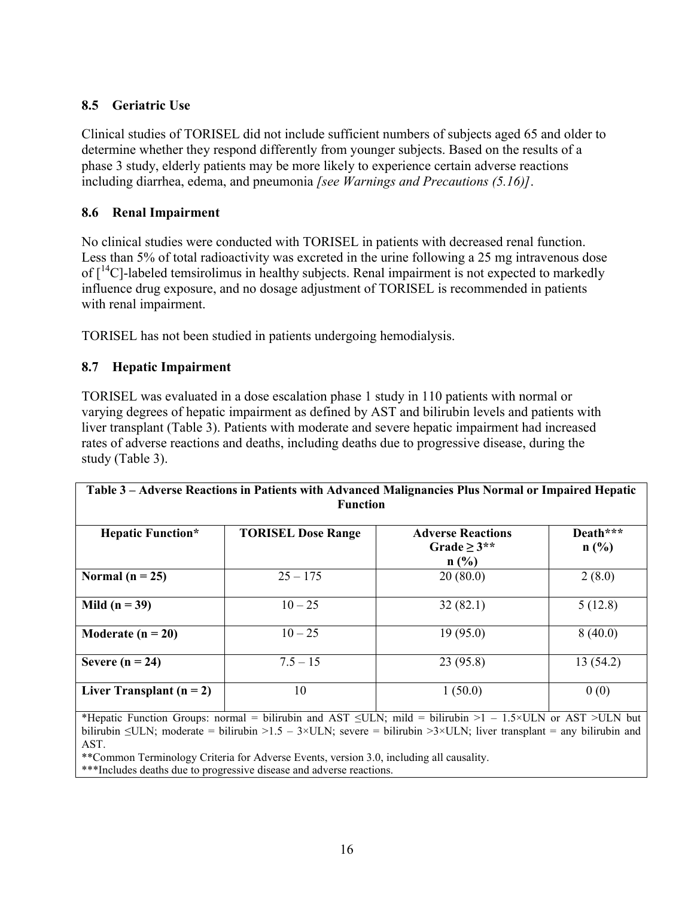## <span id="page-15-0"></span>**8.5 Geriatric Use**

Clinical studies of TORISEL did not include sufficient numbers of subjects aged 65 and older to determine whether they respond differently from younger subjects. Based on the results of a phase 3 study, elderly patients may be more likely to experience certain adverse reactions including diarrhea, edema, and pneumonia *[see Warnings and Precautions (5.16)]*.

## **8.6 Renal Impairment**

No clinical studies were conducted with TORISEL in patients with decreased renal function. Less than 5% of total radioactivity was excreted in the urine following a 25 mg intravenous dose of  $\lceil \cdot ^{14}C \rceil$ -labeled temsirolimus in healthy subjects. Renal impairment is not expected to markedly influence drug exposure, and no dosage adjustment of TORISEL is recommended in patients with renal impairment.

TORISEL has not been studied in patients undergoing hemodialysis.

## **8.7 Hepatic Impairment**

TORISEL was evaluated in a dose escalation phase 1 study in 110 patients with normal or varying degrees of hepatic impairment as defined by AST and bilirubin levels and patients with liver transplant (Table 3). Patients with moderate and severe hepatic impairment had increased rates of adverse reactions and deaths, including deaths due to progressive disease, during the study (Table 3).

| Table 3 – Adverse Reactions in Patients with Advanced Malignancies Plus Normal or Impaired Hepatic<br><b>Function</b> |                           |                                                       |                  |  |
|-----------------------------------------------------------------------------------------------------------------------|---------------------------|-------------------------------------------------------|------------------|--|
| <b>Hepatic Function*</b>                                                                                              | <b>TORISEL Dose Range</b> | <b>Adverse Reactions</b><br>Grade $\geq 3$ **<br>n(%) | Death***<br>n(%) |  |
| Normal ( $n = 25$ )                                                                                                   | $25 - 175$                | 20(80.0)                                              | 2(8.0)           |  |
| Mild $(n = 39)$                                                                                                       | $10 - 25$                 | 32(82.1)                                              | 5(12.8)          |  |
| Moderate ( $n = 20$ )                                                                                                 | $10 - 25$                 | 19(95.0)                                              | 8(40.0)          |  |
| Severe $(n = 24)$                                                                                                     | $7.5 - 15$                | 23(95.8)                                              | 13(54.2)         |  |
| Liver Transplant $(n = 2)$                                                                                            | 10                        | 1(50.0)                                               | 0(0)             |  |

\*Hepatic Function Groups: normal = bilirubin and AST  $\leq ULN$ ; mild = bilirubin >1 – 1.5×ULN or AST >ULN but bilirubin  $\leq$ ULN; moderate = bilirubin >1.5 – 3×ULN; severe = bilirubin >3×ULN; liver transplant = any bilirubin and AST.

\*\*Common Terminology Criteria for Adverse Events, version 3.0, including all causality.

\*\*\*Includes deaths due to progressive disease and adverse reactions.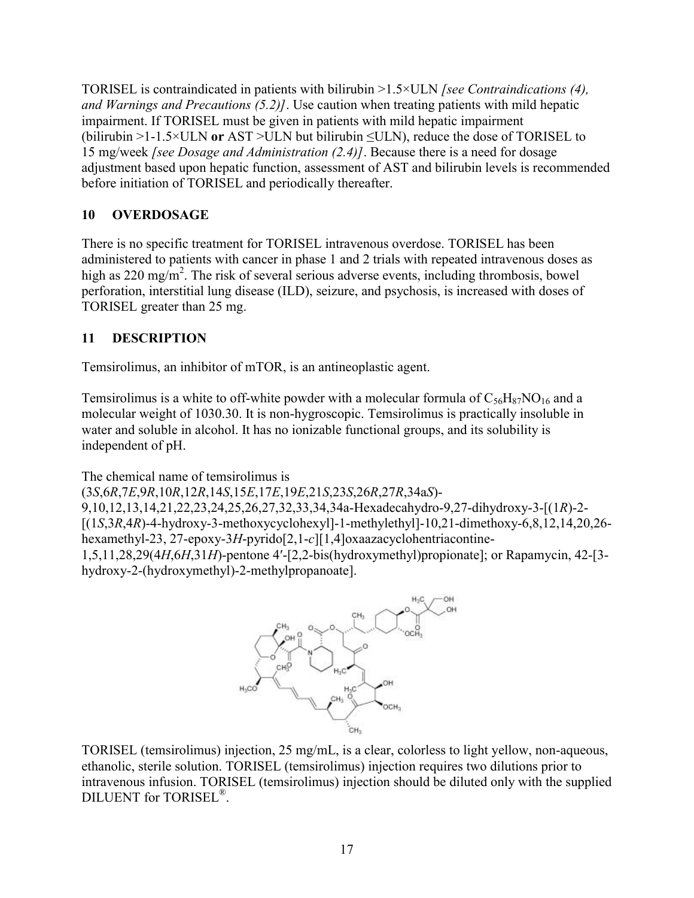TORISEL is contraindicated in patients with bilirubin >1.5×ULN *[see Contraindications (4), and Warnings and Precautions (5.2)]*. Use caution when treating patients with mild hepatic impairment. If TORISEL must be given in patients with mild hepatic impairment (bilirubin >1-1.5×ULN **or** AST >ULN but bilirubin ≤ULN), reduce the dose of TORISEL to 15 mg/week *[see Dosage and Administration (2.4)]*. Because there is a need for dosage adjustment based upon hepatic function, assessment of AST and bilirubin levels is recommended before initiation of TORISEL and periodically thereafter.

# **10 OVERDOSAGE**

There is no specific treatment for TORISEL intravenous overdose. TORISEL has been administered to patients with cancer in phase 1 and 2 trials with repeated intravenous doses as high as 220 mg/m<sup>2</sup>. The risk of several serious adverse events, including thrombosis, bowel perforation, interstitial lung disease (ILD), seizure, and psychosis, is increased with doses of TORISEL greater than 25 mg.

## **11 DESCRIPTION**

Temsirolimus, an inhibitor of mTOR, is an antineoplastic agent.

Temsirolimus is a white to off-white powder with a molecular formula of  $C_{56}H_{87}NO_{16}$  and a molecular weight of 1030.30. It is non-hygroscopic. Temsirolimus is practically insoluble in water and soluble in alcohol. It has no ionizable functional groups, and its solubility is independent of pH.

The chemical name of temsirolimus is

(3*S*,6*R*,7*E*,9*R*,10*R*,12*R*,14*S*,15*E*,17*E*,19*E*,21*S*,23*S*,26*R*,27*R*,34a*S*)-

9,10,12,13,14,21,22,23,24,25,26,27,32,33,34,34a-Hexadecahydro-9,27-dihydroxy-3-[(1*R*)-2- [(1*S*,3*R*,4*R*)-4-hydroxy-3-methoxycyclohexyl]-1-methylethyl]-10,21-dimethoxy-6,8,12,14,20,26 hexamethyl-23, 27-epoxy-3*H*-pyrido[2,1-*c*][1,4]oxaazacyclohentriacontine-

1,5,11,28,29(4*H*,6*H*,31*H*)-pentone 4′-[2,2-bis(hydroxymethyl)propionate]; or Rapamycin, 42-[3 hydroxy-2-(hydroxymethyl)-2-methylpropanoate].



TORISEL (temsirolimus) injection, 25 mg/mL, is a clear, colorless to light yellow, non-aqueous, ethanolic, sterile solution. TORISEL (temsirolimus) injection requires two dilutions prior to intravenous infusion. TORISEL (temsirolimus) injection should be diluted only with the supplied DILUENT for TORISEL® .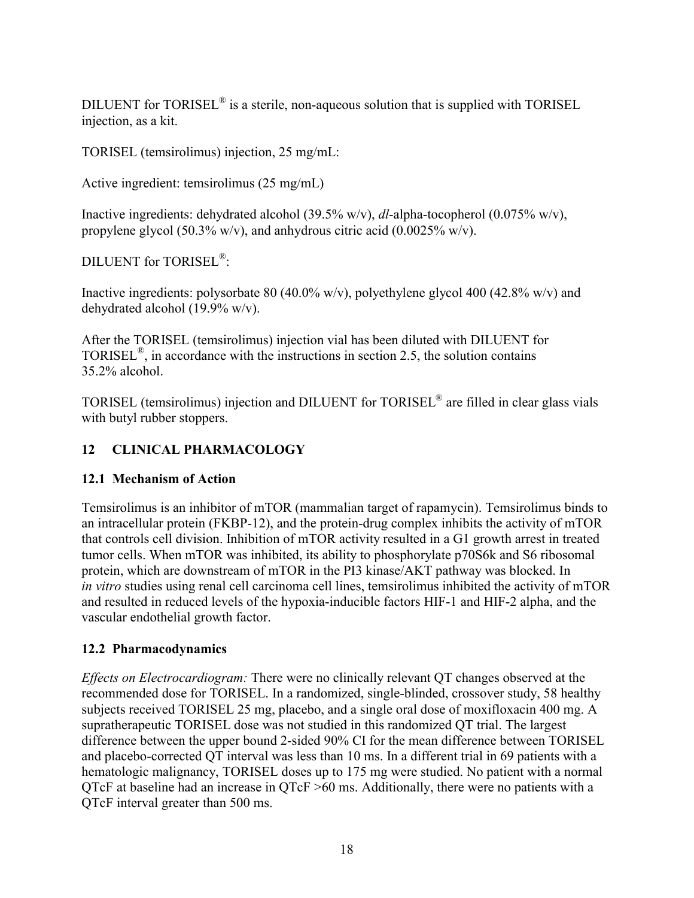DILUENT for TORISEL<sup>®</sup> is a sterile, non-aqueous solution that is supplied with TORISEL injection, as a kit.

TORISEL (temsirolimus) injection, 25 mg/mL:

Active ingredient: temsirolimus (25 mg/mL)

Inactive ingredients: dehydrated alcohol (39.5% w/v), *dl*-alpha-tocopherol (0.075% w/v), propylene glycol (50.3% w/v), and anhydrous citric acid (0.0025% w/v).

DILUENT for TORISEL® :

Inactive ingredients: polysorbate 80 (40.0% w/v), polyethylene glycol 400 (42.8% w/v) and dehydrated alcohol (19.9% w/v).

After the TORISEL (temsirolimus) injection vial has been diluted with DILUENT for TORISEL<sup>®</sup>, in accordance with the instructions in section 2.5, the solution contains 35.2% alcohol.

TORISEL (temsirolimus) injection and DILUENT for TORISEL® are filled in clear glass vials with butyl rubber stoppers.

## **12 CLINICAL PHARMACOLOGY**

## **12.1 Mechanism of Action**

Temsirolimus is an inhibitor of mTOR (mammalian target of rapamycin). Temsirolimus binds to an intracellular protein (FKBP-12), and the protein-drug complex inhibits the activity of mTOR that controls cell division. Inhibition of mTOR activity resulted in a G1 growth arrest in treated tumor cells. When mTOR was inhibited, its ability to phosphorylate p70S6k and S6 ribosomal protein, which are downstream of mTOR in the PI3 kinase/AKT pathway was blocked. In *in vitro* studies using renal cell carcinoma cell lines, temsirolimus inhibited the activity of mTOR and resulted in reduced levels of the hypoxia-inducible factors HIF-1 and HIF-2 alpha, and the vascular endothelial growth factor.

## **12.2 Pharmacodynamics**

*Effects on Electrocardiogram:* There were no clinically relevant QT changes observed at the recommended dose for TORISEL. In a randomized, single-blinded, crossover study, 58 healthy subjects received TORISEL 25 mg, placebo, and a single oral dose of moxifloxacin 400 mg. A supratherapeutic TORISEL dose was not studied in this randomized QT trial. The largest difference between the upper bound 2-sided 90% CI for the mean difference between TORISEL and placebo-corrected QT interval was less than 10 ms. In a different trial in 69 patients with a hematologic malignancy, TORISEL doses up to 175 mg were studied. No patient with a normal QTcF at baseline had an increase in QTcF >60 ms. Additionally, there were no patients with a QTcF interval greater than 500 ms.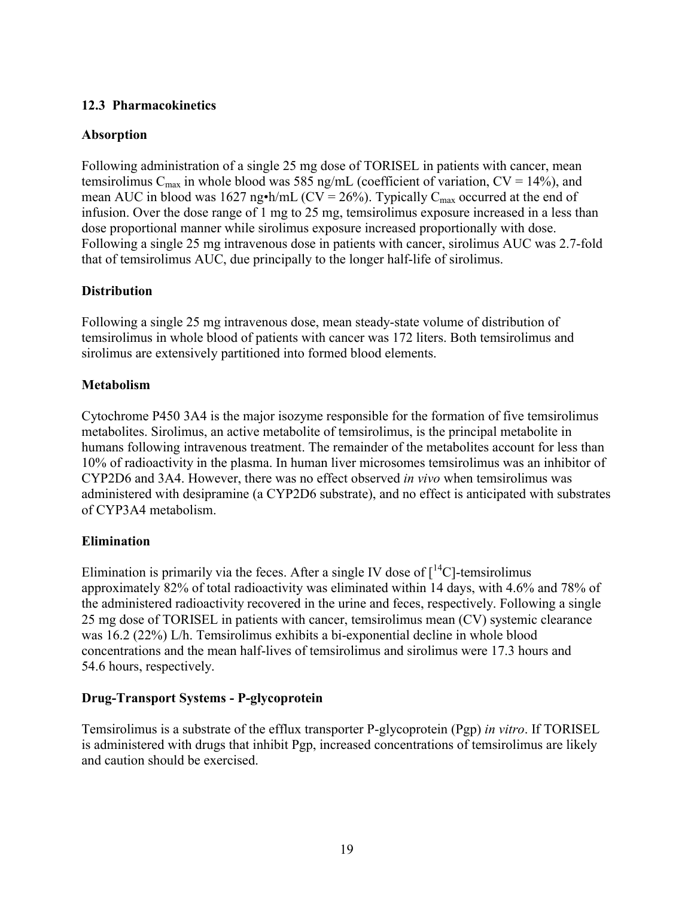#### **12.3 Pharmacokinetics**

#### **Absorption**

Following administration of a single 25 mg dose of TORISEL in patients with cancer, mean temsirolimus  $C_{\text{max}}$  in whole blood was 585 ng/mL (coefficient of variation,  $CV = 14\%$ ), and mean AUC in blood was 1627 ng•h/mL (CV = 26%). Typically  $C_{\text{max}}$  occurred at the end of infusion. Over the dose range of 1 mg to 25 mg, temsirolimus exposure increased in a less than dose proportional manner while sirolimus exposure increased proportionally with dose. Following a single 25 mg intravenous dose in patients with cancer, sirolimus AUC was 2.7-fold that of temsirolimus AUC, due principally to the longer half-life of sirolimus.

#### **Distribution**

Following a single 25 mg intravenous dose, mean steady-state volume of distribution of temsirolimus in whole blood of patients with cancer was 172 liters. Both temsirolimus and sirolimus are extensively partitioned into formed blood elements.

#### **Metabolism**

Cytochrome P450 3A4 is the major isozyme responsible for the formation of five temsirolimus metabolites. Sirolimus, an active metabolite of temsirolimus, is the principal metabolite in humans following intravenous treatment. The remainder of the metabolites account for less than 10% of radioactivity in the plasma. In human liver microsomes temsirolimus was an inhibitor of CYP2D6 and 3A4. However, there was no effect observed *in vivo* when temsirolimus was administered with desipramine (a CYP2D6 substrate), and no effect is anticipated with substrates of CYP3A4 metabolism.

#### **Elimination**

Elimination is primarily via the feces. After a single IV dose of  $\lceil {^{14}C} \rceil$ -temsirolimus approximately 82% of total radioactivity was eliminated within 14 days, with 4.6% and 78% of the administered radioactivity recovered in the urine and feces, respectively. Following a single 25 mg dose of TORISEL in patients with cancer, temsirolimus mean (CV) systemic clearance was 16.2 (22%) L/h. Temsirolimus exhibits a bi-exponential decline in whole blood concentrations and the mean half-lives of temsirolimus and sirolimus were 17.3 hours and 54.6 hours, respectively.

#### **Drug-Transport Systems - P-glycoprotein**

Temsirolimus is a substrate of the efflux transporter P-glycoprotein (Pgp) *in vitro*. If TORISEL is administered with drugs that inhibit Pgp, increased concentrations of temsirolimus are likely and caution should be exercised.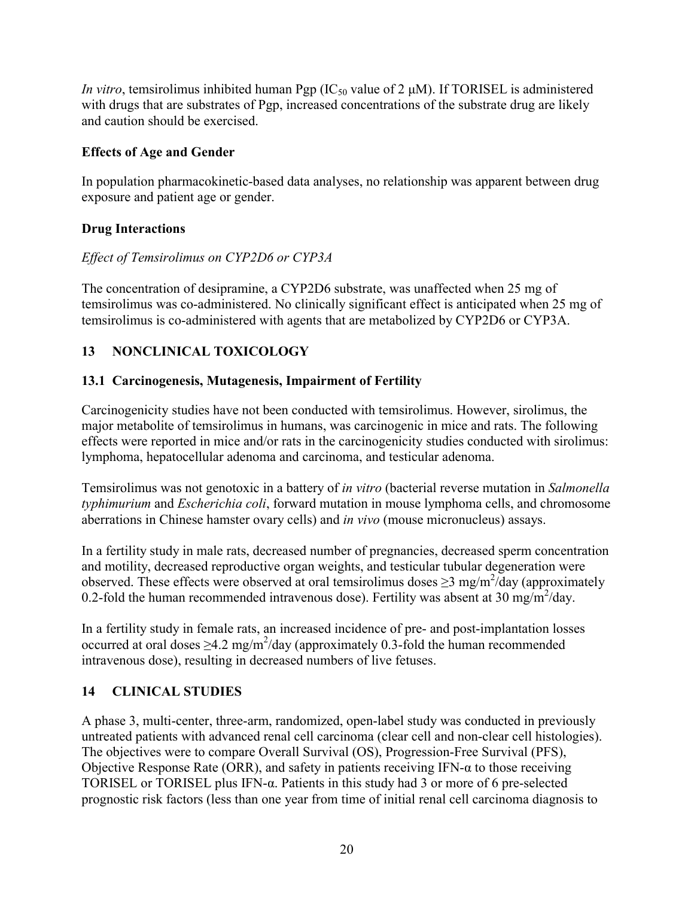*In vitro*, temsirolimus inhibited human Pgp (IC<sub>50</sub> value of 2 μM). If TORISEL is administered with drugs that are substrates of Pgp, increased concentrations of the substrate drug are likely and caution should be exercised.

## **Effects of Age and Gender**

In population pharmacokinetic-based data analyses, no relationship was apparent between drug exposure and patient age or gender.

# **Drug Interactions**

# *Effect of Temsirolimus on CYP2D6 or CYP3A*

The concentration of desipramine, a CYP2D6 substrate, was unaffected when 25 mg of temsirolimus was co-administered. No clinically significant effect is anticipated when 25 mg of temsirolimus is co-administered with agents that are metabolized by CYP2D6 or CYP3A.

# **13 NONCLINICAL TOXICOLOGY**

# <span id="page-19-1"></span>**13.1 Carcinogenesis, Mutagenesis, Impairment of Fertility**

Carcinogenicity studies have not been conducted with temsirolimus. However, sirolimus, the major metabolite of temsirolimus in humans, was carcinogenic in mice and rats. The following effects were reported in mice and/or rats in the carcinogenicity studies conducted with sirolimus: lymphoma, hepatocellular adenoma and carcinoma, and testicular adenoma.

Temsirolimus was not genotoxic in a battery of *in vitro* (bacterial reverse mutation in *Salmonella typhimurium* and *Escherichia coli*, forward mutation in mouse lymphoma cells, and chromosome aberrations in Chinese hamster ovary cells) and *in vivo* (mouse micronucleus) assays.

In a fertility study in male rats, decreased number of pregnancies, decreased sperm concentration and motility, decreased reproductive organ weights, and testicular tubular degeneration were observed. These effects were observed at oral temsirolimus doses  $\geq$ 3 mg/m<sup>2</sup>/day (approximately 0.2-fold the human recommended intravenous dose). Fertility was absent at 30 mg/m<sup>2</sup>/day.

In a fertility study in female rats, an increased incidence of pre- and post-implantation losses occurred at oral doses  $\geq$ 4.2 mg/m<sup>2</sup>/day (approximately 0.3-fold the human recommended intravenous dose), resulting in decreased numbers of live fetuses.

# <span id="page-19-0"></span>**14 CLINICAL STUDIES**

A phase 3, multi-center, three-arm, randomized, open-label study was conducted in previously untreated patients with advanced renal cell carcinoma (clear cell and non-clear cell histologies). The objectives were to compare Overall Survival (OS), Progression-Free Survival (PFS), Objective Response Rate (ORR), and safety in patients receiving IFN- $\alpha$  to those receiving TORISEL or TORISEL plus IFN-α. Patients in this study had 3 or more of 6 pre-selected prognostic risk factors (less than one year from time of initial renal cell carcinoma diagnosis to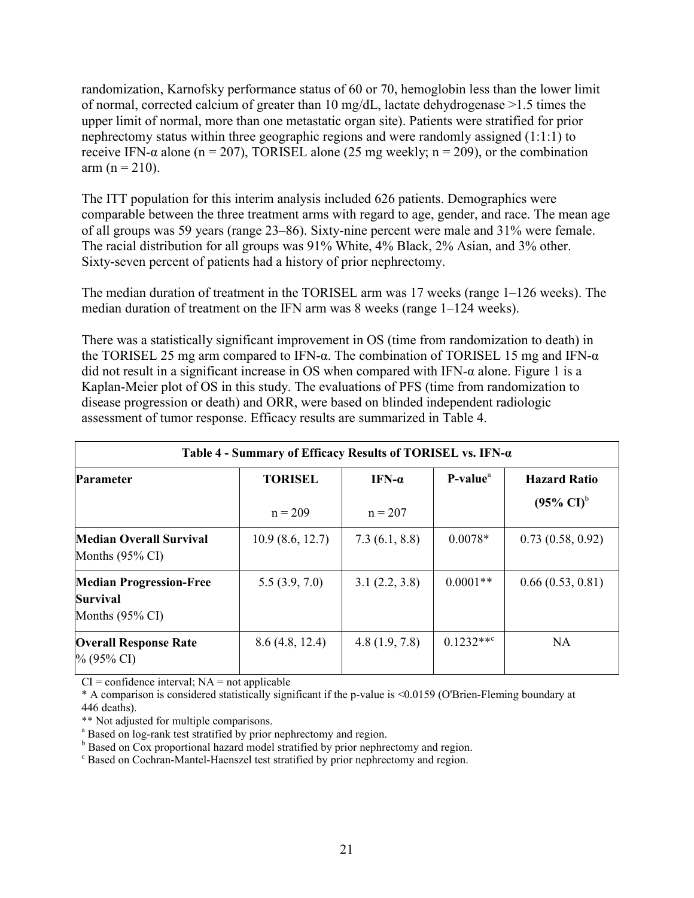randomization, Karnofsky performance status of 60 or 70, hemoglobin less than the lower limit of normal, corrected calcium of greater than 10 mg/dL, lactate dehydrogenase >1.5 times the upper limit of normal, more than one metastatic organ site). Patients were stratified for prior nephrectomy status within three geographic regions and were randomly assigned (1:1:1) to receive IFN- $\alpha$  alone (n = 207), TORISEL alone (25 mg weekly; n = 209), or the combination  $arm (n = 210).$ 

The ITT population for this interim analysis included 626 patients. Demographics were comparable between the three treatment arms with regard to age, gender, and race. The mean age of all groups was 59 years (range 23–86). Sixty-nine percent were male and 31% were female. The racial distribution for all groups was 91% White, 4% Black, 2% Asian, and 3% other. Sixty-seven percent of patients had a history of prior nephrectomy.

The median duration of treatment in the TORISEL arm was 17 weeks (range 1–126 weeks). The median duration of treatment on the IFN arm was 8 weeks (range 1–124 weeks).

There was a statistically significant improvement in OS (time from randomization to death) in the TORISEL 25 mg arm compared to IFN- $\alpha$ . The combination of TORISEL 15 mg and IFN- $\alpha$ did not result in a significant increase in OS when compared with IFN-α alone. Figure 1 is a Kaplan-Meier plot of OS in this study. The evaluations of PFS (time from randomization to disease progression or death) and ORR, were based on blinded independent radiologic assessment of tumor response. Efficacy results are summarized in Table 4.

| Table 4 - Summary of Efficacy Results of TORISEL vs. IFN-a                      |                             |                            |                      |                                                       |
|---------------------------------------------------------------------------------|-----------------------------|----------------------------|----------------------|-------------------------------------------------------|
| <b>Parameter</b>                                                                | <b>TORISEL</b><br>$n = 209$ | IFN- $\alpha$<br>$n = 207$ | P-value <sup>a</sup> | <b>Hazard Ratio</b><br>$(95\% \text{ CI})^{\text{b}}$ |
| Median Overall Survival<br>Months $(95\% \text{ CI})$                           | 10.9(8.6, 12.7)             | 7.3(6.1, 8.8)              | $0.0078*$            | 0.73(0.58, 0.92)                                      |
| <b>Median Progression-Free</b><br><b>Survival</b><br>Months $(95\% \text{ CI})$ | 5.5(3.9, 7.0)               | 3.1(2.2, 3.8)              | $0.0001**$           | 0.66(0.53, 0.81)                                      |
| <b>Overall Response Rate</b><br>$\%$ (95% CI)                                   | 8.6(4.8, 12.4)              | 4.8(1.9, 7.8)              | $0.1232**^c$         | <b>NA</b>                                             |

 $CI =$  confidence interval;  $NA =$  not applicable

\* A comparison is considered statistically significant if the p-value is <0.0159 (O'Brien-Fleming boundary at 446 deaths).

\*\* Not adjusted for multiple comparisons.

<sup>a</sup> Based on log-rank test stratified by prior nephrectomy and region.

**b** Based on Cox proportional hazard model stratified by prior nephrectomy and region.

<sup>c</sup> Based on Cochran-Mantel-Haenszel test stratified by prior nephrectomy and region.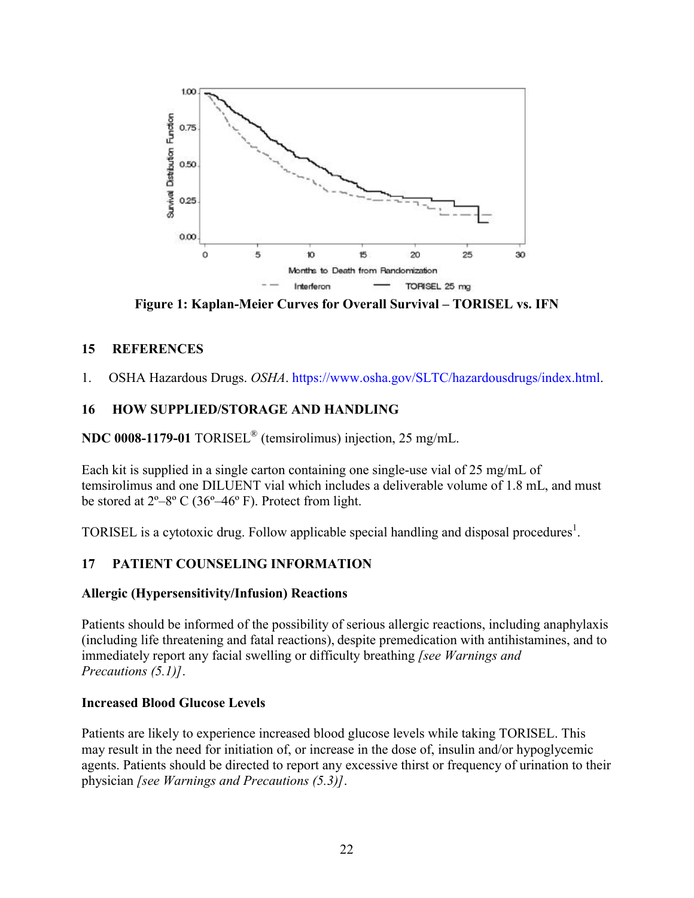

**Figure 1: Kaplan-Meier Curves for Overall Survival – TORISEL vs. IFN**

#### **15 REFERENCES**

1. OSHA Hazardous Drugs. *OSHA*. [https://www.osha.gov/SLTC/hazardousdrugs/index.html.](https://www.osha.gov/SLTC/hazardousdrugs/index.html)

## <span id="page-21-0"></span>**16 HOW SUPPLIED/STORAGE AND HANDLING**

**NDC 0008-1179-01** TORISEL® (temsirolimus) injection, 25 mg/mL.

Each kit is supplied in a single carton containing one single-use vial of 25 mg/mL of temsirolimus and one DILUENT vial which includes a deliverable volume of 1.8 mL, and must be stored at  $2^{\circ}-8^{\circ}$  C (36°–46° F). Protect from light.

TORISEL is a cytotoxic drug. Follow applicable special handling and disposal procedures<sup>1</sup>.

## **17 PATIENT COUNSELING INFORMATION**

#### **Allergic (Hypersensitivity/Infusion) Reactions**

Patients should be informed of the possibility of serious allergic reactions, including anaphylaxis (including life threatening and fatal reactions), despite premedication with antihistamines, and to immediately report any facial swelling or difficulty breathing *[see Warnings and Precautions (5.1)]*.

#### **Increased Blood Glucose Levels**

Patients are likely to experience increased blood glucose levels while taking TORISEL. This may result in the need for initiation of, or increase in the dose of, insulin and/or hypoglycemic agents. Patients should be directed to report any excessive thirst or frequency of urination to their physician *[see Warnings and Precautions (5.3)]*.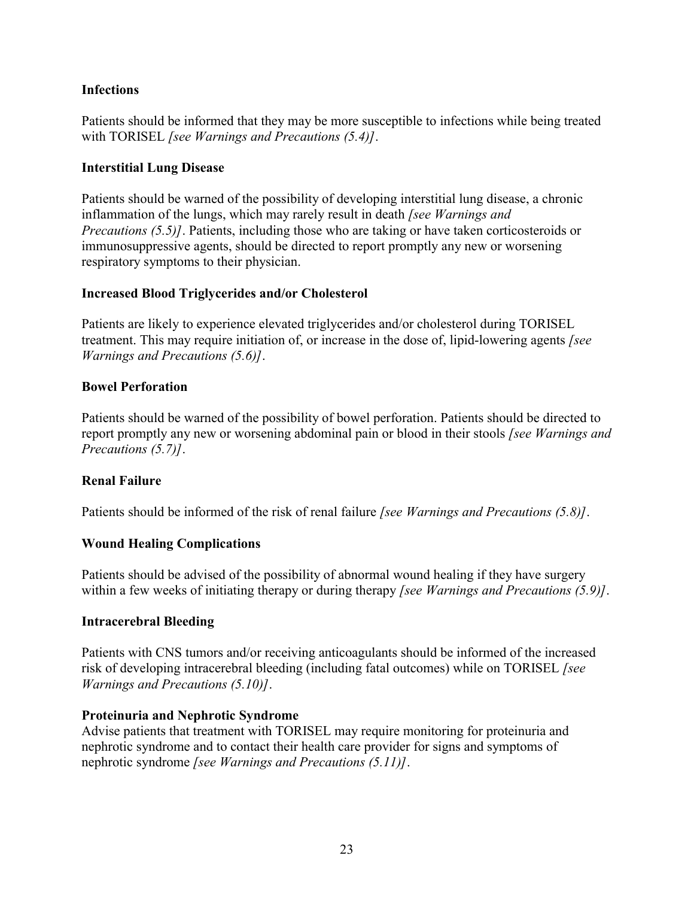#### **Infections**

Patients should be informed that they may be more susceptible to infections while being treated with TORISEL *[see Warnings and Precautions (5.4)]*.

#### **Interstitial Lung Disease**

Patients should be warned of the possibility of developing interstitial lung disease, a chronic inflammation of the lungs, which may rarely result in death *[see Warnings and Precautions (5.5)]*. Patients, including those who are taking or have taken corticosteroids or immunosuppressive agents, should be directed to report promptly any new or worsening respiratory symptoms to their physician.

#### **Increased Blood Triglycerides and/or Cholesterol**

Patients are likely to experience elevated triglycerides and/or cholesterol during TORISEL treatment. This may require initiation of, or increase in the dose of, lipid-lowering agents *[see Warnings and Precautions (5.6)]*.

#### **Bowel Perforation**

Patients should be warned of the possibility of bowel perforation. Patients should be directed to report promptly any new or worsening abdominal pain or blood in their stools *[see Warnings and Precautions (5.7)]*.

#### **Renal Failure**

Patients should be informed of the risk of renal failure *[see Warnings and Precautions (5.8)]*.

#### **Wound Healing Complications**

Patients should be advised of the possibility of abnormal wound healing if they have surgery within a few weeks of initiating therapy or during therapy *[see Warnings and Precautions (5.9)]*.

#### **Intracerebral Bleeding**

Patients with CNS tumors and/or receiving anticoagulants should be informed of the increased risk of developing intracerebral bleeding (including fatal outcomes) while on TORISEL *[see Warnings and Precautions (5.10)]*.

#### **Proteinuria and Nephrotic Syndrome**

Advise patients that treatment with TORISEL may require monitoring for proteinuria and nephrotic syndrome and to contact their health care provider for signs and symptoms of nephrotic syndrome *[see Warnings and Precautions (5.11)]*.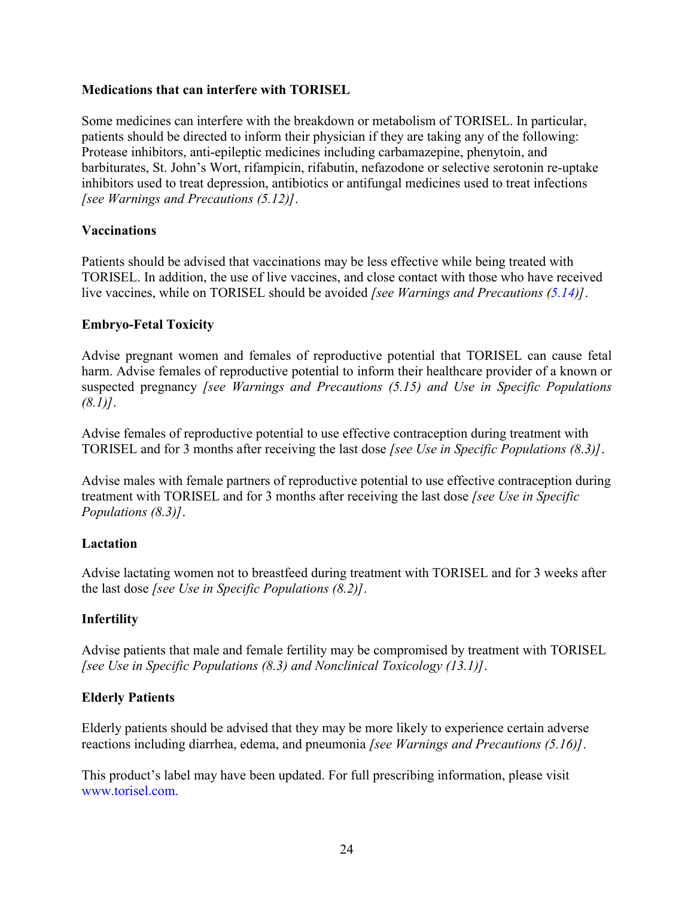#### **Medications that can interfere with TORISEL**

Some medicines can interfere with the breakdown or metabolism of TORISEL. In particular, patients should be directed to inform their physician if they are taking any of the following: Protease inhibitors, anti-epileptic medicines including carbamazepine, phenytoin, and barbiturates, St. John's Wort, rifampicin, rifabutin, nefazodone or selective serotonin re-uptake inhibitors used to treat depression, antibiotics or antifungal medicines used to treat infections *[see Warnings and Precautions (5.12)]*.

#### **Vaccinations**

Patients should be advised that vaccinations may be less effective while being treated with TORISEL. In addition, the use of live vaccines, and close contact with those who have received live vaccines, while on TORISEL should be avoided *[see Warnings and Precautions [\(5.14](#page-8-1))]*.

#### **Embryo-Fetal Toxicity**

Advise pregnant women and females of reproductive potential that TORISEL can cause fetal harm. Advise females of reproductive potential to inform their healthcare provider of a known or suspected pregnancy *[see Warnings and Precautions (5.15) and Use in Specific Populations (8.1)]*.

Advise females of reproductive potential to use effective contraception during treatment with TORISEL and for 3 months after receiving the last dose *[see Use in Specific Populations (8.3)]*.

Advise males with female partners of reproductive potential to use effective contraception during treatment with TORISEL and for 3 months after receiving the last dose *[see Use in Specific Populations (8.3)]*.

#### **Lactation**

Advise lactating women not to breastfeed during treatment with TORISEL and for 3 weeks after the last dose *[see Use in Specific Populations (8.2)]*.

#### **Infertility**

Advise patients that male and female fertility may be compromised by treatment with TORISEL *[see Use in Specific Populations (8.3) and Nonclinical Toxicology (13.1)]*.

#### **Elderly Patients**

Elderly patients should be advised that they may be more likely to experience certain adverse reactions including diarrhea, edema, and pneumonia *[see Warnings and Precautions (5.16)]*.

This product's label may have been updated. For full prescribing information, please visit www.torisel.com